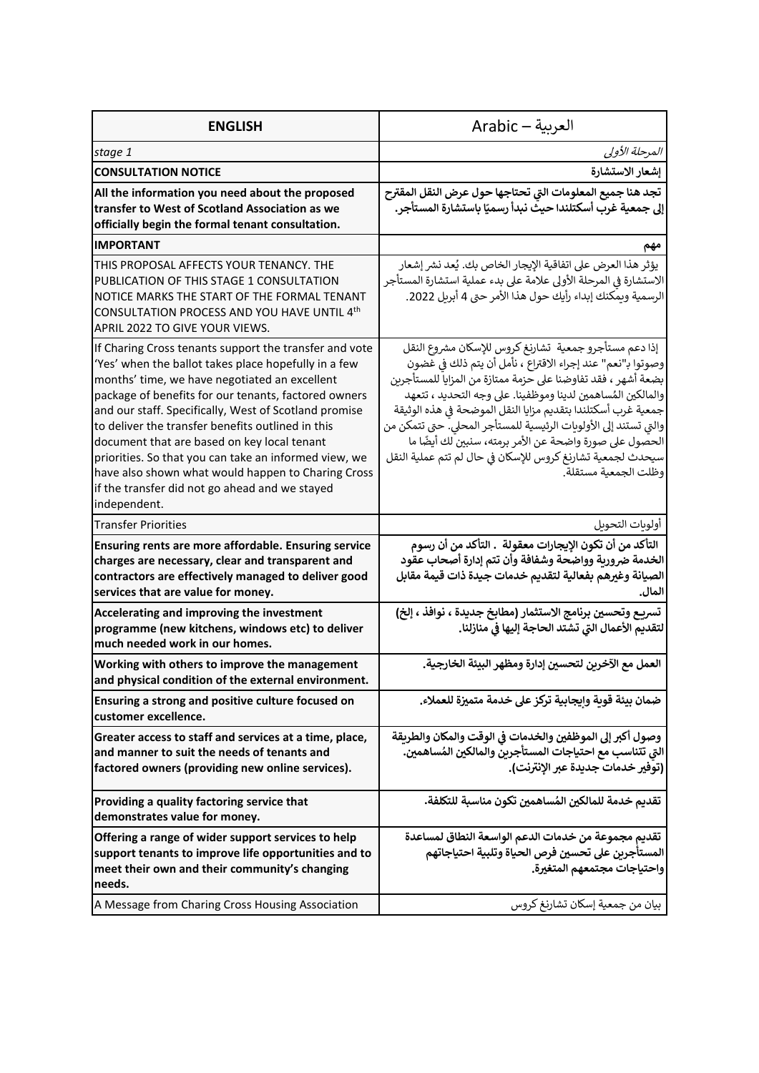| <b>ENGLISH</b>                                                                                                                                                                                                                                                                                                                                                                                                                                                                                                                                                        | العربية — Arabic                                                                                                                                                                                                                                                                                                                                                                                                                                                                                                                            |
|-----------------------------------------------------------------------------------------------------------------------------------------------------------------------------------------------------------------------------------------------------------------------------------------------------------------------------------------------------------------------------------------------------------------------------------------------------------------------------------------------------------------------------------------------------------------------|---------------------------------------------------------------------------------------------------------------------------------------------------------------------------------------------------------------------------------------------------------------------------------------------------------------------------------------------------------------------------------------------------------------------------------------------------------------------------------------------------------------------------------------------|
| stage 1                                                                                                                                                                                                                                                                                                                                                                                                                                                                                                                                                               | المرحلة الأولى                                                                                                                                                                                                                                                                                                                                                                                                                                                                                                                              |
| <b>CONSULTATION NOTICE</b>                                                                                                                                                                                                                                                                                                                                                                                                                                                                                                                                            | إشعار الاستشارة                                                                                                                                                                                                                                                                                                                                                                                                                                                                                                                             |
| All the information you need about the proposed<br>transfer to West of Scotland Association as we<br>officially begin the formal tenant consultation.                                                                                                                                                                                                                                                                                                                                                                                                                 | تجد هنا جميع المعلومات التي تحتاجها حول عرض النقل المقترح<br>إلى جمعية غرب أسكتلندا حيث نبدأ رسميًا باستشارة المستأجر.                                                                                                                                                                                                                                                                                                                                                                                                                      |
| <b>IMPORTANT</b>                                                                                                                                                                                                                                                                                                                                                                                                                                                                                                                                                      | مهم                                                                                                                                                                                                                                                                                                                                                                                                                                                                                                                                         |
| THIS PROPOSAL AFFECTS YOUR TENANCY. THE<br>PUBLICATION OF THIS STAGE 1 CONSULTATION<br>NOTICE MARKS THE START OF THE FORMAL TENANT<br>CONSULTATION PROCESS AND YOU HAVE UNTIL 4th<br>APRIL 2022 TO GIVE YOUR VIEWS.                                                                                                                                                                                                                                                                                                                                                   | يؤثر هذا العرض على اتفاقية الإيجار الخاص بك. يُعد نشر إشعار<br>الاستشارة فى المرحلة الأولى علامة على بدء عملية استشارة المستأجر<br>الرسمية ويمكنك إبداء رأيك حول هذا الأمر حتى 4 أبريل 2022.                                                                                                                                                                                                                                                                                                                                                |
| If Charing Cross tenants support the transfer and vote<br>'Yes' when the ballot takes place hopefully in a few<br>months' time, we have negotiated an excellent<br>package of benefits for our tenants, factored owners<br>and our staff. Specifically, West of Scotland promise<br>to deliver the transfer benefits outlined in this<br>document that are based on key local tenant<br>priorities. So that you can take an informed view, we<br>have also shown what would happen to Charing Cross<br>if the transfer did not go ahead and we stayed<br>independent. | إذا دعم مستأجرو جمعية  تشارنغ كروس للإسكان مشروع النقل<br>وصوتوا بـ"نعم" عند إجراء الاقتراع ، نأمل أن يتم ذلك في غضون<br>بضعة أشهر ، فقد تفاوضنا على حزمة ممتازة من المزايا للمستأجرين<br>والمالكين المُساهمين لدينا وموظفينا. على وجه التحديد ، تتعهد<br>جمعية غرب أسكتلندا بتقديم مزايا النقل الموضحة فى هذه الوثيقة<br>والتي تستند إلى الأولوبات الرئيسية للمستأجر المحلى. حتى تتمكن من<br>الحصول على صورة واضحة عن الأمر برمته، سنبين لك أيضًا ما<br>سيحدث لجمعية تشارنغ كروس للإسكان في حال لم تتم عملية النقل<br>وظلت الجمعية مستقلة. |
| <b>Transfer Priorities</b>                                                                                                                                                                                                                                                                                                                                                                                                                                                                                                                                            | أولوبات التحويل                                                                                                                                                                                                                                                                                                                                                                                                                                                                                                                             |
| Ensuring rents are more affordable. Ensuring service<br>charges are necessary, clear and transparent and<br>contractors are effectively managed to deliver good<br>services that are value for money.                                                                                                                                                                                                                                                                                                                                                                 | التأكد من أن تكون الإيجارات معقولة  . التأكد من أن رسوم<br>الخدمة ضرورية وواضحة وشفافة وأن تتم إدارة أصحاب عقود<br>الصيانة وغيرهم بفعالية لتقديم خدمات جيدة ذات قيمة مقابل<br>المال.                                                                                                                                                                                                                                                                                                                                                        |
| Accelerating and improving the investment<br>programme (new kitchens, windows etc) to deliver<br>much needed work in our homes.                                                                                                                                                                                                                                                                                                                                                                                                                                       | تسريع وتحسين برنامج الاستثمار (مطابخ جديدة ، نوافذ ، إلخ)<br>لتقديم الأعمال التي تشتد الحاجة إليها في منازلنا.                                                                                                                                                                                                                                                                                                                                                                                                                              |
| Working with others to improve the management<br>and physical condition of the external environment.                                                                                                                                                                                                                                                                                                                                                                                                                                                                  | العمل مع الآخرين لتحسين إدارة ومظهر البيئة الخارجية.                                                                                                                                                                                                                                                                                                                                                                                                                                                                                        |
| Ensuring a strong and positive culture focused on<br>customer excellence.                                                                                                                                                                                                                                                                                                                                                                                                                                                                                             | ضمان بيئة قوبة وايجابية تركز على خدمة متميزة للعملاء.                                                                                                                                                                                                                                                                                                                                                                                                                                                                                       |
| Greater access to staff and services at a time, place,<br>and manner to suit the needs of tenants and<br>factored owners (providing new online services).                                                                                                                                                                                                                                                                                                                                                                                                             | وصول أكبر إلى الموظفين والخدمات في الوقت والمكان والطريقة<br>التي تتناسب مع احتياجات المستأجربن والمالكين المُساهمين.<br>(توفير خدمات جديدة عبر الانترنت).                                                                                                                                                                                                                                                                                                                                                                                  |
| Providing a quality factoring service that<br>demonstrates value for money.                                                                                                                                                                                                                                                                                                                                                                                                                                                                                           | تقديم خدمة للمالكين المُساهمين تكون مناسبة للتكلفة.                                                                                                                                                                                                                                                                                                                                                                                                                                                                                         |
| Offering a range of wider support services to help<br>support tenants to improve life opportunities and to<br>meet their own and their community's changing<br>needs.                                                                                                                                                                                                                                                                                                                                                                                                 | تقديم مجموعة من خدمات الدعم الواسعة النطاق لمساعدة<br>المستأجرين على تحسين فرص الحياة وتلبية احتياجاتهم<br>واحتياجات مجتمعهم المتغيرة.                                                                                                                                                                                                                                                                                                                                                                                                      |
| A Message from Charing Cross Housing Association                                                                                                                                                                                                                                                                                                                                                                                                                                                                                                                      | بيان من جمعية إسكان تشارنغ كروس                                                                                                                                                                                                                                                                                                                                                                                                                                                                                                             |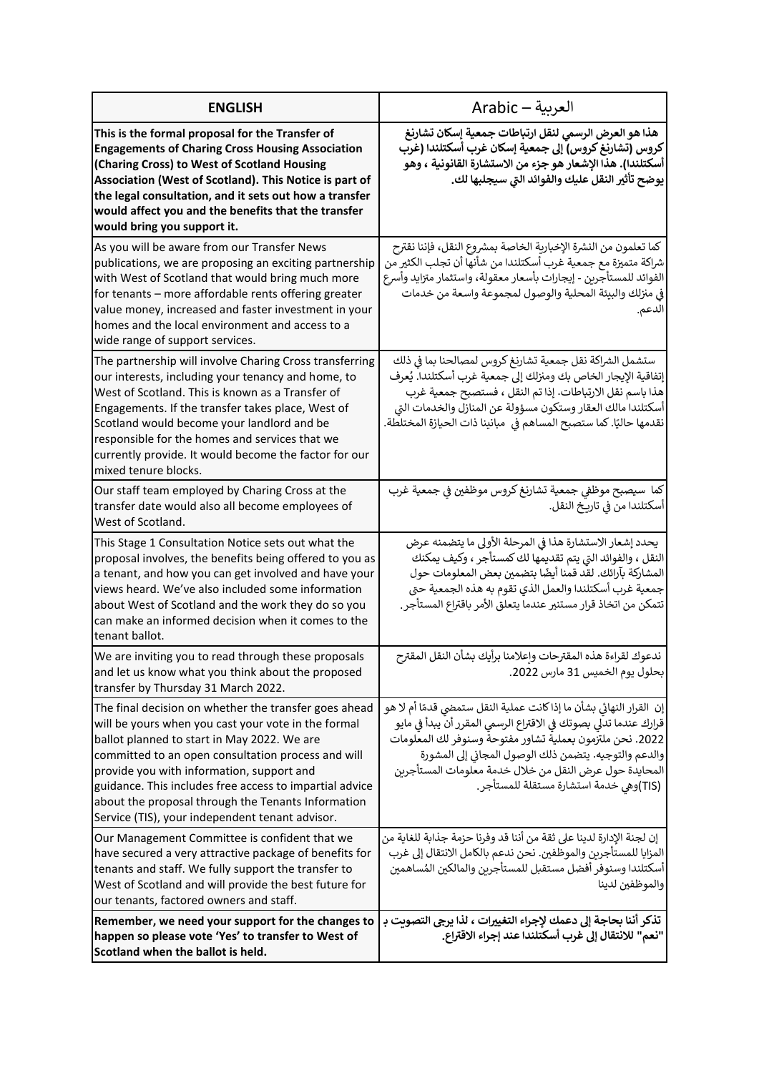| <b>ENGLISH</b>                                                                                                                                                                                                                                                                                                                                                                                                                     | العربية – Arabic                                                                                                                                                                                                                                                                                                                                                   |
|------------------------------------------------------------------------------------------------------------------------------------------------------------------------------------------------------------------------------------------------------------------------------------------------------------------------------------------------------------------------------------------------------------------------------------|--------------------------------------------------------------------------------------------------------------------------------------------------------------------------------------------------------------------------------------------------------------------------------------------------------------------------------------------------------------------|
| This is the formal proposal for the Transfer of<br><b>Engagements of Charing Cross Housing Association</b><br>(Charing Cross) to West of Scotland Housing<br>Association (West of Scotland). This Notice is part of<br>the legal consultation, and it sets out how a transfer<br>would affect you and the benefits that the transfer<br>would bring you support it.                                                                | هذا هو العرض الرسمي لنقل ارتباطات جمعية إسكان تشارنغ<br>كروس (تشارنغ كروس) إلى جمعية إسكان غرب أسكتلندا (غرب<br>أسكتلندا). هذا الإشعار هو جزء من الاستشارة القانونية ، وهو<br>يوضح تأثير النقل عليك والفوائد التي سيجلبها لك.                                                                                                                                      |
| As you will be aware from our Transfer News<br>publications, we are proposing an exciting partnership<br>with West of Scotland that would bring much more<br>for tenants - more affordable rents offering greater<br>value money, increased and faster investment in your<br>homes and the local environment and access to a<br>wide range of support services.                                                                    | كما تعلمون من النشرة الإخبارية الخاصة بمشروع النقل، فإننا نقترح<br>شراكة متميزة مع جمعية غرب أسكتلندا من شأنها أن تجلب الكثير من<br>الفوائد للمستأجرين - إيجارات بأسعار معقولة، واستثمار متزايد وأسرع<br>في منزلك والبيئة المحلية والوصول لمجموعة واسعة من خدمات<br>الدعم.                                                                                         |
| The partnership will involve Charing Cross transferring<br>our interests, including your tenancy and home, to<br>West of Scotland. This is known as a Transfer of<br>Engagements. If the transfer takes place, West of<br>Scotland would become your landlord and be<br>responsible for the homes and services that we<br>currently provide. It would become the factor for our<br>mixed tenure blocks.                            | ستشمل الشراكة نقل جمعية تشارنغ كروس لمصالحنا بما في ذلك<br>إتفاقية الإيجار الخاص بك ومنزلك إلى جمعية غرب أسكتلندا. يُعرف<br>هذا باسم نقل الارتباطات. إذا تم النقل ، فستصبح جمعية غرب<br>أسكتلندا مالك العقار وستكون مسؤولة عن المنازل والخدمات التى<br>نقدمها حاليًا. كما ستصبح المساهم فى  مبانينا ذات الحيازة المختلطة.                                          |
| Our staff team employed by Charing Cross at the<br>transfer date would also all become employees of<br>West of Scotland.                                                                                                                                                                                                                                                                                                           | كما سيصبح موظفي جمعية تشارنغ كروس موظفين في جمعية غرب<br>أسكتلندا من في تاريخ النقل.                                                                                                                                                                                                                                                                               |
| This Stage 1 Consultation Notice sets out what the<br>proposal involves, the benefits being offered to you as<br>a tenant, and how you can get involved and have your<br>views heard. We've also included some information<br>about West of Scotland and the work they do so you<br>can make an informed decision when it comes to the<br>tenant ballot.                                                                           | يحدد إشعار الاستشارة هذا في المرحلة الأولى ما يتضمنه عرض<br>النقل ، والفوائد التي يتم تقديمها لك كمستأجر ، وكيف يمكنك<br>المشاركة بآرائك. لقد قمنا أيضًا بتضمين بعض المعلومات حول<br>جمعية غرب أسكتلندا والعمل الذي تقوم به هذه الجمعية حتى<br>تتمكن من اتخاذ قرار مستنير عندما يتعلق الأمر باقتراع المستأجر.                                                      |
| We are inviting you to read through these proposals<br>and let us know what you think about the proposed<br>transfer by Thursday 31 March 2022.                                                                                                                                                                                                                                                                                    | ندعوك لقراءة هذه المقترحات وإعلامنا برأيك بشأن النقل المقترح<br>بحلول يوم الخميس 31 مارس 2022.                                                                                                                                                                                                                                                                     |
| The final decision on whether the transfer goes ahead<br>will be yours when you cast your vote in the formal<br>ballot planned to start in May 2022. We are<br>committed to an open consultation process and will<br>provide you with information, support and<br>guidance. This includes free access to impartial advice<br>about the proposal through the Tenants Information<br>Service (TIS), your independent tenant advisor. | إن  القرار النهائي بشأن ما إذا كانت عملية النقل ستمضى قدمًا أم لا هو<br>قرارك عندما تدلى بصوتك في الاقتراع الرسمي المقرر أن يبدأ في مايو<br>2022. نحن ملتزمون بعملية تشاور مفتوحة وسنوفر لك المعلومات<br>والدعم والتوجيه. يتضمن ذلك الوصول المجاني إلى المشورة<br>المحايدة حول عرض النقل من خلال خدمة معلومات المستأجربن<br>(TIS)وهي خدمة استشارة مستقلة للمستأجر. |
| Our Management Committee is confident that we<br>have secured a very attractive package of benefits for<br>tenants and staff. We fully support the transfer to<br>West of Scotland and will provide the best future for<br>our tenants, factored owners and staff.                                                                                                                                                                 | إن لجنة الإدارة لدينا على ثقة من أننا قد وفرنا حزمة جذابة للغاية من<br>المزايا للمستأجرين والموظفين. نحن ندعم بالكامل الانتقال إلى غرب<br>أسكتلندا وسنوفر أفضل مستقبل للمستأجرين والمالكين المُساهمين<br>والموظفين لدينا                                                                                                                                           |
| Remember, we need your support for the changes to<br>happen so please vote 'Yes' to transfer to West of<br>Scotland when the ballot is held.                                                                                                                                                                                                                                                                                       | تذكر أننا بحاجة إلى دعمك لإجراء التغييرات ، لذا يرجى التصوبت بـ<br>"نعم" للانتقال إلى غرب أسكتلندا عند إجراء الاقتراع.                                                                                                                                                                                                                                             |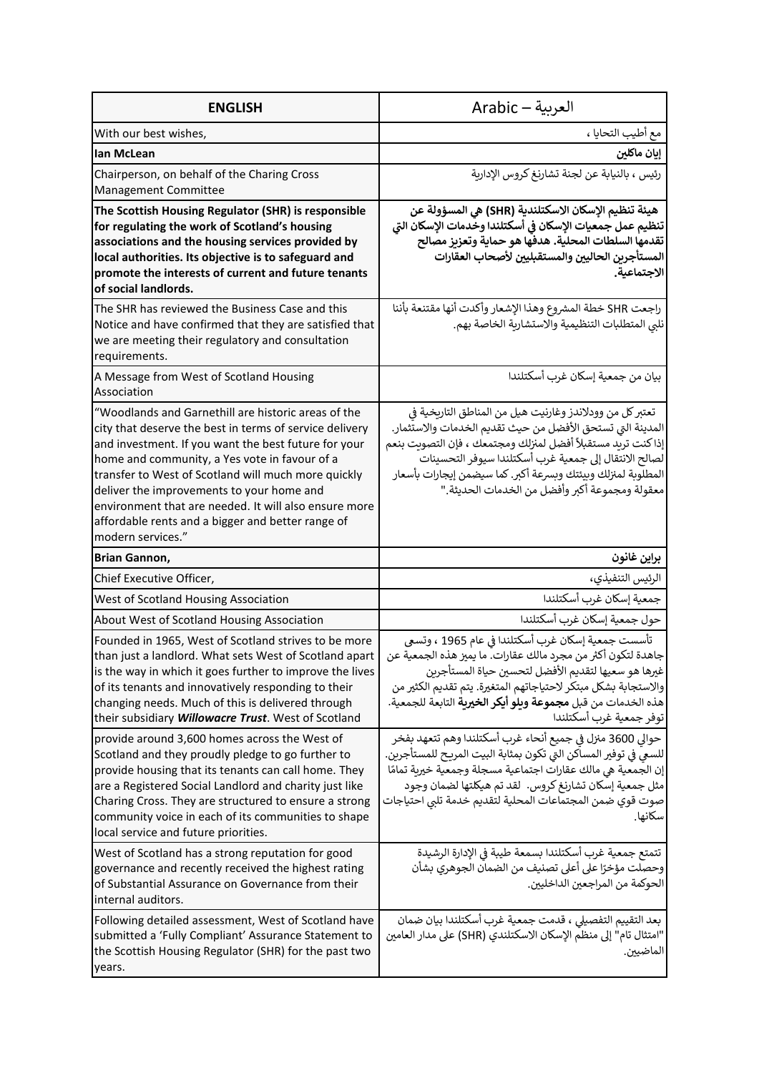| <b>ENGLISH</b>                                                                                                                                                                                                                                                                                                                                                                                                                                                 | العربية — Arabic                                                                                                                                                                                                                                                                                                                                                  |
|----------------------------------------------------------------------------------------------------------------------------------------------------------------------------------------------------------------------------------------------------------------------------------------------------------------------------------------------------------------------------------------------------------------------------------------------------------------|-------------------------------------------------------------------------------------------------------------------------------------------------------------------------------------------------------------------------------------------------------------------------------------------------------------------------------------------------------------------|
| With our best wishes,                                                                                                                                                                                                                                                                                                                                                                                                                                          | مع أطيب التحايا ،                                                                                                                                                                                                                                                                                                                                                 |
| lan McLean                                                                                                                                                                                                                                                                                                                                                                                                                                                     | إيان ماكلين                                                                                                                                                                                                                                                                                                                                                       |
| Chairperson, on behalf of the Charing Cross<br>Management Committee                                                                                                                                                                                                                                                                                                                                                                                            | رئيس ، بالنيابة عن لجنة تشارنغ كروس الإداربة                                                                                                                                                                                                                                                                                                                      |
| The Scottish Housing Regulator (SHR) is responsible<br>for regulating the work of Scotland's housing<br>associations and the housing services provided by<br>local authorities. Its objective is to safeguard and<br>promote the interests of current and future tenants<br>of social landlords.                                                                                                                                                               | هيئة تنظيم الإسكان الاسكتلندية (SHR) هي المسؤولة عن<br>تنظيم عمل جمعيات الإسكان في أسكتلندا وخّدمات الإسكان التي<br>تقدمها السلطات المحلية. هدفها هو حماية وتعزيز مصالح<br>المستأجرين الحاليين والمستقبليين لأصحاب العقارات<br>الاجتماعية.                                                                                                                        |
| The SHR has reviewed the Business Case and this<br>Notice and have confirmed that they are satisfied that<br>we are meeting their regulatory and consultation<br>requirements.                                                                                                                                                                                                                                                                                 | راجعت SHR خطة المشروع وهذا الإشعار وأكدت أنها مقتنعة بأننا<br>نلبي المتطلبات التنظيمية والاستشارية الخاصة بهم.                                                                                                                                                                                                                                                    |
| A Message from West of Scotland Housing<br>Association                                                                                                                                                                                                                                                                                                                                                                                                         | بيان من جمعية إسكان غرب أسكتلندا                                                                                                                                                                                                                                                                                                                                  |
| "Woodlands and Garnethill are historic areas of the<br>city that deserve the best in terms of service delivery<br>and investment. If you want the best future for your<br>home and community, a Yes vote in favour of a<br>transfer to West of Scotland will much more quickly<br>deliver the improvements to your home and<br>environment that are needed. It will also ensure more<br>affordable rents and a bigger and better range of<br>modern services." | تعتبر كل من وودلاندز وغارنيت هيل من المناطق التاريخية في<br>المدينة التي تستحق الأفضل من حيث تقديم الخدمات والاستثمار.<br>إذا كنت تريد مستقبلاً أفضل لمنزلك ومجتمعك ، فإن التصويت بنعم<br>لصالح الانتقال إلى جمعية غرب أسكتلندا سيوفر التحسينات<br>المطلوبة لمنزلك وبيئتك وبسرعة أكبر. كما سيضمن إيجارات بأسعار<br>معقولة ومجموعة أكبر وأفضل من الخدمات الحديثة." |
| Brian Gannon,                                                                                                                                                                                                                                                                                                                                                                                                                                                  | براين غانون                                                                                                                                                                                                                                                                                                                                                       |
| Chief Executive Officer,                                                                                                                                                                                                                                                                                                                                                                                                                                       | الرئيس التنفيذي،                                                                                                                                                                                                                                                                                                                                                  |
| West of Scotland Housing Association                                                                                                                                                                                                                                                                                                                                                                                                                           | جمعية إسكان غرب أسكتلندا                                                                                                                                                                                                                                                                                                                                          |
| About West of Scotland Housing Association                                                                                                                                                                                                                                                                                                                                                                                                                     | حول جمعية إسكان غرب أسكتلندا                                                                                                                                                                                                                                                                                                                                      |
| Founded in 1965, West of Scotland strives to be more<br>than just a landlord. What sets West of Scotland apart<br>is the way in which it goes further to improve the lives<br>of its tenants and innovatively responding to their<br>changing needs. Much of this is delivered through<br>their subsidiary Willowacre Trust. West of Scotland                                                                                                                  | تأسست جمعية إسكان غرب أسكتلندا في عام 1965 ، وتسعى<br>جاهدة لتكون أكثر من مجرد مالك عقارات. ما يميز هذه الجمعية عن<br>غيرها هو سعيها لتقديم الأفضل لتحسين حياة المستأجربن<br>والاستجابة بشكل مبتكر لاحتياجاتهم المتغيرة. يتم تقديم الكثير من<br>هذه الخدمات من قبل <b>مجموعة ويلو أيكر الخيرية</b> التابعة للجمعية.<br>توفر جمعية غرب أسكتلندا                    |
| provide around 3,600 homes across the West of<br>Scotland and they proudly pledge to go further to<br>provide housing that its tenants can call home. They<br>are a Registered Social Landlord and charity just like<br>Charing Cross. They are structured to ensure a strong<br>community voice in each of its communities to shape<br>local service and future priorities.                                                                                   | حوالي 3600 منزل في جميع أنحاء غرب أسكتلندا وهم تتعهد بفخر<br>للسعى في توفير المساكن التي تكون بمثابة البيت المريح للمستأجرين.<br>إن الجمعية هي مالك عقارات اجتماعية مسجلة وجمعية خيرية تمامًا<br>مثل جمعية إسكان تشارنغ كروس.  لقد تم هيكلتها لضمان وجود<br>صوت قوي ضمن المجتماعات المحلية لتقديم خدمة تلبى احتياجات<br>سكانها.                                   |
| West of Scotland has a strong reputation for good<br>governance and recently received the highest rating<br>of Substantial Assurance on Governance from their<br>internal auditors.                                                                                                                                                                                                                                                                            | تتمتع جمعية غرب أسكتلندا بسمعة طيبة في الإدارة الرشيدة<br>وحصلت مؤخرًا على أعلى تصنيف من الضمان الجوهري بشأن<br>الحوكمة من المراجعين الداخليين.                                                                                                                                                                                                                   |
| Following detailed assessment, West of Scotland have<br>submitted a 'Fully Compliant' Assurance Statement to<br>the Scottish Housing Regulator (SHR) for the past two<br>years.                                                                                                                                                                                                                                                                                | بعد التقييم التفصيلي ، قدمت جمعية غرب أسكتلندا بيان ضمان<br>"امتثال تام" إلى منظم الإسكان الاسكتلندي (SHR) على مدار العامين<br>الماضيين.                                                                                                                                                                                                                          |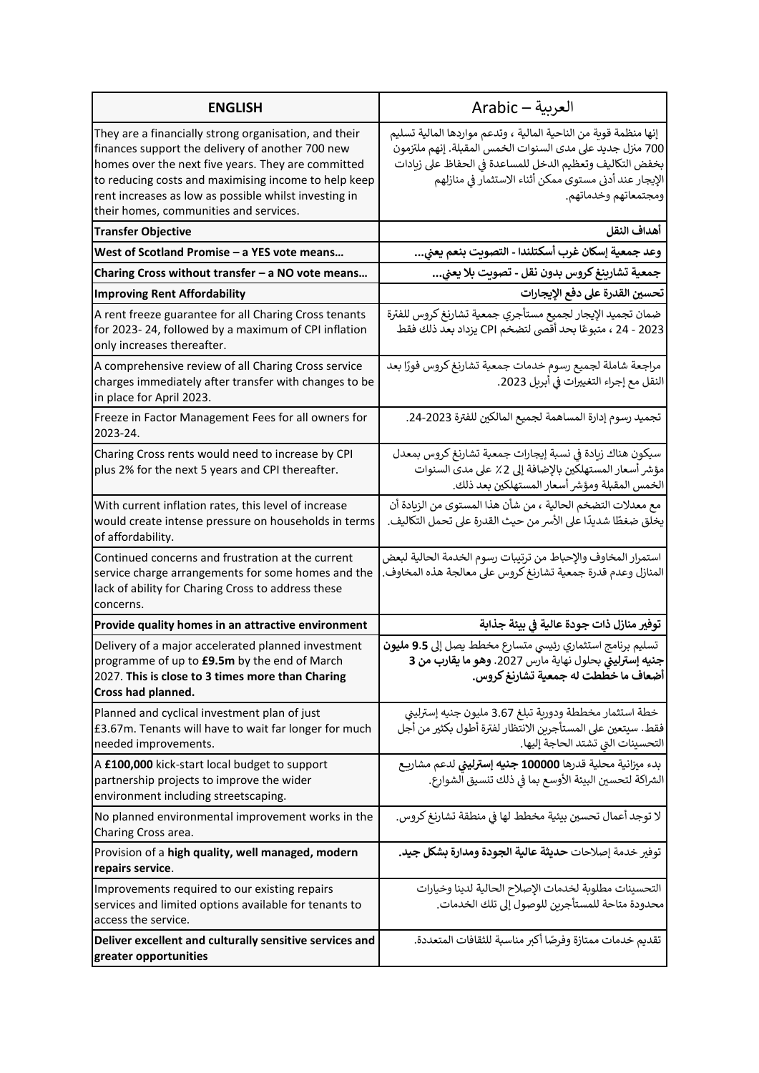| <b>ENGLISH</b>                                                                                                                                                                                                                                                                                                             | العربية — Arabic                                                                                                                                                                                                                                                            |
|----------------------------------------------------------------------------------------------------------------------------------------------------------------------------------------------------------------------------------------------------------------------------------------------------------------------------|-----------------------------------------------------------------------------------------------------------------------------------------------------------------------------------------------------------------------------------------------------------------------------|
| They are a financially strong organisation, and their<br>finances support the delivery of another 700 new<br>homes over the next five years. They are committed<br>to reducing costs and maximising income to help keep<br>rent increases as low as possible whilst investing in<br>their homes, communities and services. | إنها منظمة قوية من الناحية المالية ، وتدعم مواردها المالية تسليم<br>700 منزل جديد على مدى السنوات الخمس المقبلة. إنهم ملتزمون<br>بخفض التكاليف وتعظيم الدخل للمساعدة في الحفاظ على زيادات<br>الإيجار عند أدنى مستوى ممكن أثناء الاستثمار فى منازلهم<br>ومجتمعاتهم وخدماتهم. |
| <b>Transfer Objective</b>                                                                                                                                                                                                                                                                                                  | أهداف النقل                                                                                                                                                                                                                                                                 |
| West of Scotland Promise - a YES vote means                                                                                                                                                                                                                                                                                | وعد جمعية إسكان غرب أسكتلندا - التصويت بنعم يعني                                                                                                                                                                                                                            |
| Charing Cross without transfer - a NO vote means                                                                                                                                                                                                                                                                           | جمعية تشارينغ كروس بدون نقل - تصويت بلا يعني                                                                                                                                                                                                                                |
| <b>Improving Rent Affordability</b>                                                                                                                                                                                                                                                                                        | تحسين القدرة على دفع الإيجارات                                                                                                                                                                                                                                              |
| A rent freeze guarantee for all Charing Cross tenants<br>for 2023-24, followed by a maximum of CPI inflation<br>only increases thereafter.                                                                                                                                                                                 | ضمان تجميد الإيجار لجميع مستأجري جمعية تشارنغ كروس للفترة<br>2023 - 24 ، متبوعًا بحد أقصى لتضخم CPI يزداد بعد ذلك فقط                                                                                                                                                       |
| A comprehensive review of all Charing Cross service<br>charges immediately after transfer with changes to be<br>in place for April 2023.                                                                                                                                                                                   | مراجعة شاملة لجميع رسوم خدمات جمعية تشارنغ كروس فورًا بعد<br>النقل مع إجراء التغييرات في أبريل 2023.                                                                                                                                                                        |
| Freeze in Factor Management Fees for all owners for<br>2023-24.                                                                                                                                                                                                                                                            | تجميد رسوم إدارة المساهمة لجميع المالكين للفترة 2023-24.                                                                                                                                                                                                                    |
| Charing Cross rents would need to increase by CPI<br>plus 2% for the next 5 years and CPI thereafter.                                                                                                                                                                                                                      | سيكون هناك زيادة في نسبة إيجارات جمعية تشارنغ كروس بمعدل<br>مؤشر أسعار المستهلكين بالإضافة إلى 2٪ على مدى السنوات<br>الخمس المقبلة ومؤشر أسعار المستهلكين بعد ذلك.                                                                                                          |
| With current inflation rates, this level of increase<br>would create intense pressure on households in terms<br>of affordability.                                                                                                                                                                                          | مع معدلات التضخم الحالية ، من شأن هذا المستوى من الزيادة أن<br>يخلق ضغطًا شديدًا على الأسر من حيث القدرة على تحمل التكاليف.                                                                                                                                                 |
| Continued concerns and frustration at the current<br>service charge arrangements for some homes and the<br>lack of ability for Charing Cross to address these<br>concerns.                                                                                                                                                 | استمرار المخاوف والإحباط من ترتيبات رسوم الخدمة الحالية لبعض<br>المنازل وعدم قدرة جمعية تشارنغ كروس على معالجة هذه المخاوف.                                                                                                                                                 |
| Provide quality homes in an attractive environment                                                                                                                                                                                                                                                                         | توفير منازل ذات جودة عالية في بيئة جذابة                                                                                                                                                                                                                                    |
| Delivery of a major accelerated planned investment<br>programme of up to £9.5m by the end of March<br>2027. This is close to 3 times more than Charing<br>Cross had planned.                                                                                                                                               | تسليم برنامج استثماري رئيسي متسارع مخطط يصل إلى <b>9.5 مليون</b><br>جنيه إسترليني بحلول نهاية مارس 2027. وهو ما يقارب من 3<br>أضعاف ما خططت له جمعية تشارنغ كروس.                                                                                                           |
| Planned and cyclical investment plan of just<br>£3.67m. Tenants will have to wait far longer for much<br>needed improvements.                                                                                                                                                                                              | خطة استثمار مخططة ودورية تبلغ 3.67 مليون جنيه إسترليني<br>فقط. سيتعين على المستأجرين الانتظار لفترة أطول بكثير من أجل<br>التحسينات التي تشتد الحاجة إليها.                                                                                                                  |
| A £100,000 kick-start local budget to support<br>partnership projects to improve the wider<br>environment including streetscaping.                                                                                                                                                                                         | بدء ميزانية محلية قدرها 100000 جنيه إسترليني لدعم مشاريع<br>الشراكة لتحسين البيئة الأوسع بما في ذلك تنسيق الشوارع.                                                                                                                                                          |
| No planned environmental improvement works in the<br>Charing Cross area.                                                                                                                                                                                                                                                   | لا توجد أعمال تحسين بيئية مخطط لها في منطقة تشارنغ كروس.                                                                                                                                                                                                                    |
| Provision of a high quality, well managed, modern<br>repairs service.                                                                                                                                                                                                                                                      | توفير خدمة إصلاحات <b>حديثة عالية الجودة ومدارة بشكل جيد.</b>                                                                                                                                                                                                               |
| Improvements required to our existing repairs<br>services and limited options available for tenants to<br>access the service.                                                                                                                                                                                              | التحسينات مطلوبة لخدمات الإصلاح الحالية لدينا وخيارات<br>محدودة متاحة للمستأجربن للوصول إلى تلك الخدمات.                                                                                                                                                                    |
| Deliver excellent and culturally sensitive services and<br>greater opportunities                                                                                                                                                                                                                                           | تقديم خدمات ممتازة وفرصًا أكبر مناسبة للثقافات المتعددة.                                                                                                                                                                                                                    |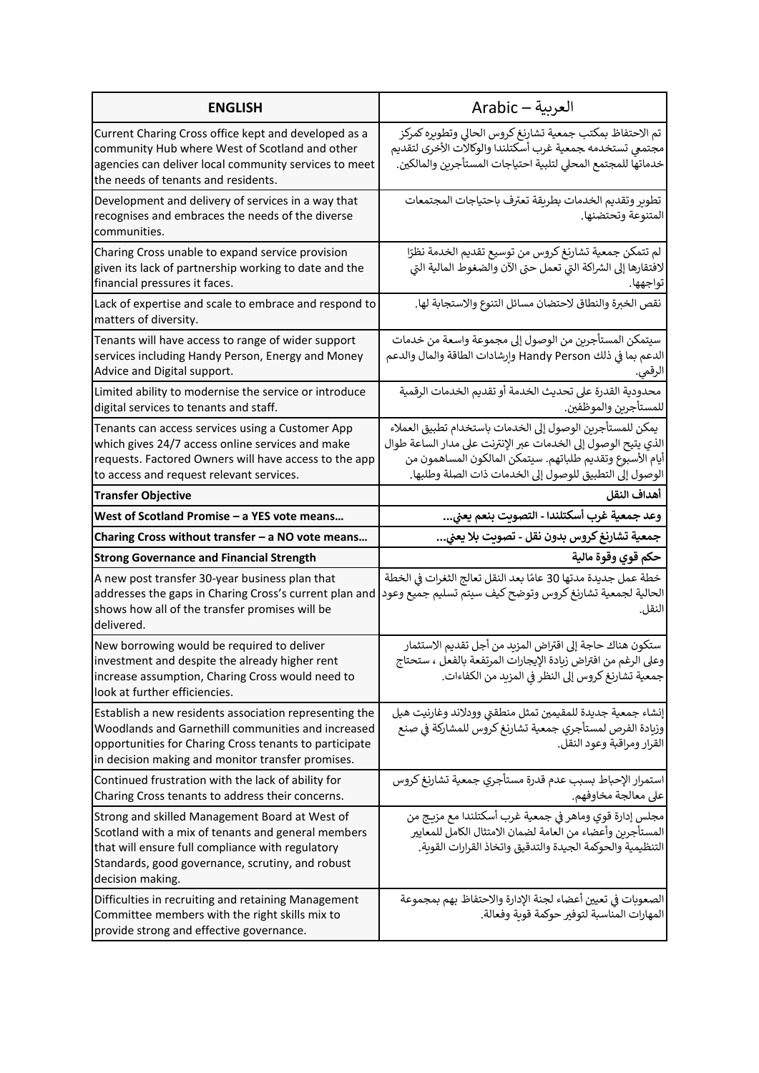| <b>ENGLISH</b>                                                                                                                                                                                                                   | العربية — Arabic                                                                                                                                                                                                                                    |
|----------------------------------------------------------------------------------------------------------------------------------------------------------------------------------------------------------------------------------|-----------------------------------------------------------------------------------------------------------------------------------------------------------------------------------------------------------------------------------------------------|
| Current Charing Cross office kept and developed as a<br>community Hub where West of Scotland and other<br>agencies can deliver local community services to meet<br>the needs of tenants and residents.                           | تم الاحتفاظ بمكتب جمعية تشارنغ كروس الحالي وتطويره كمركز<br>مجتمعى تستخدمه جمعية غرب أسكتلندا والوكالات الأخرى لتقديم<br>خدماتها للمجتمع المحلى لتلبية احتياجات المستأجرين والمالكين.                                                               |
| Development and delivery of services in a way that<br>recognises and embraces the needs of the diverse<br>communities.                                                                                                           | تطوير وتقديم الخدمات بطريقة تعترف باحتياجات المجتمعات<br>المتنوعة وتحتضنها.                                                                                                                                                                         |
| Charing Cross unable to expand service provision<br>given its lack of partnership working to date and the<br>financial pressures it faces.                                                                                       | لم تتمكن جمعية تشارنغ كروس من توسيع تقديم الخدمة نظرًا<br>لافتقارها إلى الشراكة التي تعمل حتى الآن والضغوط المالية التى<br>تواجهها.                                                                                                                 |
| Lack of expertise and scale to embrace and respond to<br>matters of diversity.                                                                                                                                                   | نقص الخبرة والنطاق لاحتضان مسائل التنوع والاستجابة لها.                                                                                                                                                                                             |
| Tenants will have access to range of wider support<br>services including Handy Person, Energy and Money<br>Advice and Digital support.                                                                                           | سيتمكن المستأجرين من الوصول إلى مجموعة واسعة من خدمات<br>الدعم بما في ذلك Handy Person وارشادات الطاقة والمال والدعم<br>الرقمي.                                                                                                                     |
| Limited ability to modernise the service or introduce<br>digital services to tenants and staff.                                                                                                                                  | محدودية القدرة على تحديث الخدمة أو تقديم الخدمات الرقمية<br>للمستأجرين والموظفين.                                                                                                                                                                   |
| Tenants can access services using a Customer App<br>which gives 24/7 access online services and make<br>requests. Factored Owners will have access to the app<br>to access and request relevant services.                        | يمكن للمستأجرين الوصول إلى الخدمات باستخدام تطبيق العملاء<br>الذي يتيح الوصول إلى الخدمات عبر الإنترنت على مدار الساعة طوال<br>أيام الأسبوع وتقديم طلباتهم. سيتمكن المالكون المساهمون من<br>الوصول إلى التطبيق للوصول إلى الخدمات ذات الصلة وطلبها. |
| <b>Transfer Objective</b>                                                                                                                                                                                                        | أهداف النقل                                                                                                                                                                                                                                         |
| West of Scotland Promise - a YES vote means                                                                                                                                                                                      | وعد جمعية غرب أسكتلندا - التصويت بنعم يعني                                                                                                                                                                                                          |
| Charing Cross without transfer - a NO vote means                                                                                                                                                                                 | جمعية تشارنغ كروس بدون نقل - تصويت بلا يعني                                                                                                                                                                                                         |
| <b>Strong Governance and Financial Strength</b>                                                                                                                                                                                  | حكم قوي وقوة مالية                                                                                                                                                                                                                                  |
| A new post transfer 30-year business plan that<br>addresses the gaps in Charing Cross's current plan and<br>shows how all of the transfer promises will be<br>delivered.                                                         | خطة عمل جديدة مدتها 30 عامًا بعد النقل تعالج الثغرات في الخطة<br>الحالية لجمعية تشارنغ كروس وتوضح كيف سيتم تسليم جميع وعود<br>النقل.                                                                                                                |
| New borrowing would be required to deliver<br>investment and despite the already higher rent<br>increase assumption, Charing Cross would need to<br>look at further efficiencies.                                                | ستكون هناك حاجة إلى اقتراض المزيد من أجل تقديم الاستثمار<br>وعلى الرغم من افتراض زيادة الإيجارات المرتفعة بالفعل ، ستحتاج<br>جمعية تشارنغ كروس إلى النظر في المزيد من الكفاءات.                                                                     |
| Establish a new residents association representing the<br>Woodlands and Garnethill communities and increased<br>opportunities for Charing Cross tenants to participate                                                           | إنشاء جمعية جديدة للمقيمين تمثل منطقتي وودلاند وغارنيت هيل<br>وزبادة الفرص لمستأجري جمعية تشارنغ كروس للمشاركة في صنع                                                                                                                               |
| in decision making and monitor transfer promises.                                                                                                                                                                                | القرار ومراقبة وعود النقل.                                                                                                                                                                                                                          |
| Continued frustration with the lack of ability for<br>Charing Cross tenants to address their concerns.                                                                                                                           | استمرار الإحباط بسبب عدم قدرة مستأجري جمعية تشارنغ كروس<br>على معالجة مخاوفهم.                                                                                                                                                                      |
| Strong and skilled Management Board at West of<br>Scotland with a mix of tenants and general members<br>that will ensure full compliance with regulatory<br>Standards, good governance, scrutiny, and robust<br>decision making. | مجلس إدارة قوي وماهر في جمعية غرب أسكتلندا مع مزيج من<br>المستأجرين وأعضاء من العامة لضمان الامتثال الكامل للمعايير<br>التنظيمية والحوكمة الجيدة والتدقيق واتخاذ القرارات القوىة.                                                                   |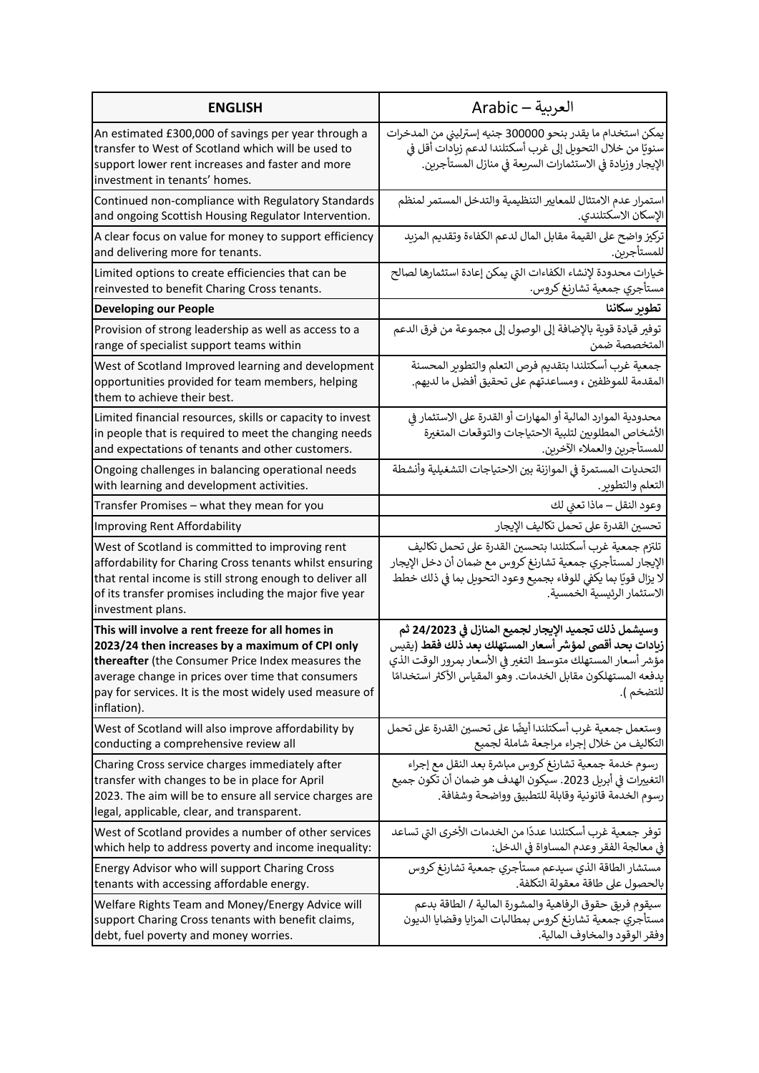| <b>ENGLISH</b>                                                                                                                                                                                                                                                                          | العربية — Arabic                                                                                                                                                                                                                                            |
|-----------------------------------------------------------------------------------------------------------------------------------------------------------------------------------------------------------------------------------------------------------------------------------------|-------------------------------------------------------------------------------------------------------------------------------------------------------------------------------------------------------------------------------------------------------------|
| An estimated £300,000 of savings per year through a<br>transfer to West of Scotland which will be used to<br>support lower rent increases and faster and more<br>investment in tenants' homes.                                                                                          | يمكن استخدام ما يقدر بنحو 300000 جنيه إسترليني من المدخرات<br>سنويًا من خلال التحويل إلى غرب أسكتلندا لدعم زيادات أقل في<br>الإيجار وزيادة فى الاستثمارات السريعة فى منازل المستأجرين.                                                                      |
| Continued non-compliance with Regulatory Standards                                                                                                                                                                                                                                      | استمرار عدم الامتثال للمعايير التنظيمية والتدخل المستمر لمنظم                                                                                                                                                                                               |
| and ongoing Scottish Housing Regulator Intervention.                                                                                                                                                                                                                                    | الإسكان الاسكتلندي.                                                                                                                                                                                                                                         |
| A clear focus on value for money to support efficiency                                                                                                                                                                                                                                  | تركيز واضح على القيمة مقابل المال لدعم الكفاءة وتقديم المزيد                                                                                                                                                                                                |
| and delivering more for tenants.                                                                                                                                                                                                                                                        | للمستأجرين.                                                                                                                                                                                                                                                 |
| Limited options to create efficiencies that can be                                                                                                                                                                                                                                      | خيارات محدودة لإنشاء الكفاءات التي يمكن إعادة استثمارها لصالح                                                                                                                                                                                               |
| reinvested to benefit Charing Cross tenants.                                                                                                                                                                                                                                            | مستأجري جمعية تشارنغ كروس.                                                                                                                                                                                                                                  |
| <b>Developing our People</b>                                                                                                                                                                                                                                                            | تطوير سكاننا                                                                                                                                                                                                                                                |
| Provision of strong leadership as well as access to a                                                                                                                                                                                                                                   | توفير قيادة قوية بالإضافة إلى الوصول إلى مجموعة من فرق الدعم                                                                                                                                                                                                |
| range of specialist support teams within                                                                                                                                                                                                                                                | المتخصصة ضمن                                                                                                                                                                                                                                                |
| West of Scotland Improved learning and development<br>opportunities provided for team members, helping<br>them to achieve their best.                                                                                                                                                   | جمعية غرب أسكتلندا بتقديم فرص التعلم والتطوير المحسنة<br>المقدمة للموظفين ، ومساعدتهم على تحقيق أفضل ما لديهم.                                                                                                                                              |
| Limited financial resources, skills or capacity to invest                                                                                                                                                                                                                               | محدودية الموارد المالية أو المهارات أو القدرة على الاستثمار في                                                                                                                                                                                              |
| in people that is required to meet the changing needs                                                                                                                                                                                                                                   | الأشخاص المطلوبين لتلبية الاحتياجات والتوقعات المتغيرة                                                                                                                                                                                                      |
| and expectations of tenants and other customers.                                                                                                                                                                                                                                        | للمستأجرين والعملاء الآخرين.                                                                                                                                                                                                                                |
| Ongoing challenges in balancing operational needs                                                                                                                                                                                                                                       | التحديات المستمرة في الموازنة بين الاحتياجات التشغيلية وأنشطة                                                                                                                                                                                               |
| with learning and development activities.                                                                                                                                                                                                                                               | التعلم والتطوير.                                                                                                                                                                                                                                            |
| Transfer Promises - what they mean for you                                                                                                                                                                                                                                              | وعود النقل – ماذا تعني لك                                                                                                                                                                                                                                   |
| Improving Rent Affordability                                                                                                                                                                                                                                                            | تحسين القدرة على تحمل تكاليف الإيجار                                                                                                                                                                                                                        |
| West of Scotland is committed to improving rent<br>affordability for Charing Cross tenants whilst ensuring<br>that rental income is still strong enough to deliver all<br>of its transfer promises including the major five year<br>investment plans.                                   | تلتزم جمعية غرب أسكتلندا بتحسين القدرة على تحمل تكاليف<br>الإيجار لمستأجري جمعية تشارنغ كروس مع ضمان أن دخل الإيجار<br>لا يزال قويًا بما يكفي للوفاء بجميع وعود التحويل بما في ذلك خطط<br>الاستثمار الرئيسية الخمسية.                                       |
| This will involve a rent freeze for all homes in<br>2023/24 then increases by a maximum of CPI only<br>thereafter (the Consumer Price Index measures the<br>average change in prices over time that consumers<br>pay for services. It is the most widely used measure of<br>inflation). | وسيشمل ذلك تجميد الإيجار لجميع المنازل في 24/2023 ثم<br>زيادات بحد أقصى لمؤشر أسعار المستهلك بعد ذلك فقط (يقيس<br>مؤشر أسعار المستهلك متوسط التغير فى الأسعار بمرور الوقت الذي<br>يدفعه المستهلكون مقابل الخدمات. وهو المقياس الأكثر استخدامًا<br>للتضخم ). |
| West of Scotland will also improve affordability by                                                                                                                                                                                                                                     | وستعمل جمعية غرب أسكتلندا أيضًا على تحسين القدرة على تحمل                                                                                                                                                                                                   |
| conducting a comprehensive review all                                                                                                                                                                                                                                                   | التكاليف من خلال إجراء مراجعة شاملة لجميع                                                                                                                                                                                                                   |
| Charing Cross service charges immediately after<br>transfer with changes to be in place for April<br>2023. The aim will be to ensure all service charges are<br>legal, applicable, clear, and transparent.                                                                              | رسوم خدمة جمعية تشارنغ كروس مباشرة بعد النقل مع إجراء<br>التغييرات في أبريل 2023. سيكون الهدف هو ضمان أن تكون جميع<br>رسوم الخدمة قانونية وقابلة للتطبيق وواضحة وشفافة.                                                                                     |
| West of Scotland provides a number of other services                                                                                                                                                                                                                                    | توفر جمعية غرب أسكتلندا عددًا من الخدمات الأخرى التي تساعد                                                                                                                                                                                                  |
| which help to address poverty and income inequality:                                                                                                                                                                                                                                    | في معالجة الفقر وعدم المساواة في الدخل:                                                                                                                                                                                                                     |
| Energy Advisor who will support Charing Cross                                                                                                                                                                                                                                           | مستشار الطاقة الذي سيدعم مستأجري جمعية تشارنغ كروس                                                                                                                                                                                                          |
| tenants with accessing affordable energy.                                                                                                                                                                                                                                               | بالحصول على طاقة معقولة التكلفة.                                                                                                                                                                                                                            |
| Welfare Rights Team and Money/Energy Advice will                                                                                                                                                                                                                                        | سيقوم فريق حقوق الرفاهية والمشورة المالية / الطاقة بدعم                                                                                                                                                                                                     |
| support Charing Cross tenants with benefit claims,                                                                                                                                                                                                                                      | مستأجري جمعية تشارنغ كروس بمطالبات المزايا وقضايا الديون                                                                                                                                                                                                    |
| debt, fuel poverty and money worries.                                                                                                                                                                                                                                                   | وفقر الوقود والمخاوف المالية.                                                                                                                                                                                                                               |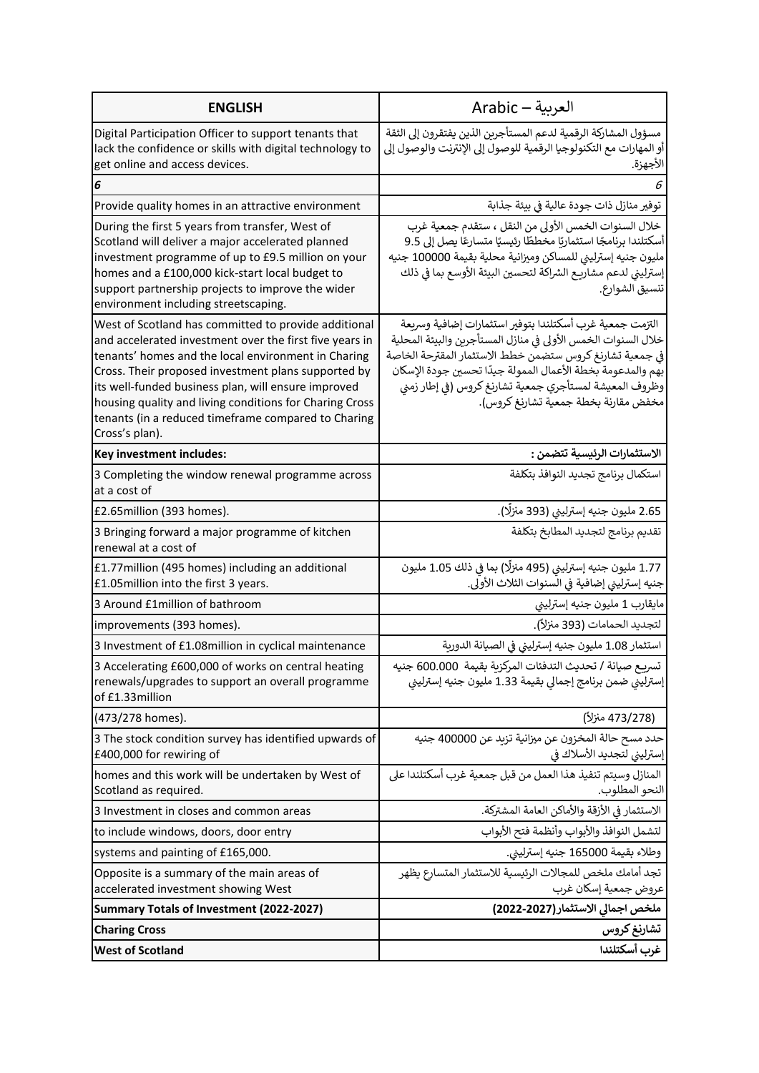| <b>ENGLISH</b>                                                                                                                                                                                                                                                                                                                                                                                                           | العربية — Arabic                                                                                                                                                                                                                                                                                                                                       |
|--------------------------------------------------------------------------------------------------------------------------------------------------------------------------------------------------------------------------------------------------------------------------------------------------------------------------------------------------------------------------------------------------------------------------|--------------------------------------------------------------------------------------------------------------------------------------------------------------------------------------------------------------------------------------------------------------------------------------------------------------------------------------------------------|
| Digital Participation Officer to support tenants that<br>lack the confidence or skills with digital technology to<br>get online and access devices.                                                                                                                                                                                                                                                                      | مسؤول المشاركة الرقمية لدعم المستأجرين الذين يفتقرون إلى الثقة<br>أو المهارات مع التكنولوجيا الرقمية للوصول إلى الإنترنت والوصول إلى<br>الأجهزة.                                                                                                                                                                                                       |
| 6                                                                                                                                                                                                                                                                                                                                                                                                                        |                                                                                                                                                                                                                                                                                                                                                        |
| Provide quality homes in an attractive environment                                                                                                                                                                                                                                                                                                                                                                       | توفير منازل ذات جودة عالية في بيئة جذابة                                                                                                                                                                                                                                                                                                               |
| During the first 5 years from transfer, West of<br>Scotland will deliver a major accelerated planned<br>investment programme of up to £9.5 million on your<br>homes and a £100,000 kick-start local budget to<br>support partnership projects to improve the wider<br>environment including streetscaping.                                                                                                               | خلال السنوات الخمس الأولى من النقل ، ستقدم جمعية غرب<br>أسكتلندا برنامجًا استثماريًا مخططًا رئيسيًا متسارعًا يصل إلى 9.5<br>مليون جنيه إسترلينى للمساكن وميزانية محلية بقيمة 100000 جنيه<br>إسترليني لدعم مشاريـع الشراكة لتحسين البيئة الأوسع بما في ذلك<br>تنسيق الشوارع.                                                                            |
| West of Scotland has committed to provide additional<br>and accelerated investment over the first five years in<br>tenants' homes and the local environment in Charing<br>Cross. Their proposed investment plans supported by<br>its well-funded business plan, will ensure improved<br>housing quality and living conditions for Charing Cross<br>tenants (in a reduced timeframe compared to Charing<br>Cross's plan). | التزمت جمعية غرب أسكتلندا بتوفير استثمارات إضافية وسربعة<br>خلال السنوات الخمس الأولى في منازل المستأجرين والبيئة المحلية<br>فى جمعية تشارنغ كروس ستضمن خطط الاستثمار المقترحة الخاصة<br>بهم والمدعومة بخطة الأعمال الممولة جيدًا تحسين جودة الإسكان<br>وظروف المعيشة لمستأجري جمعية تشارنغ كروس (في إطار زمني<br>مخفض مقارنة بخطة جمعية تشارنغ كروس). |
| Key investment includes:                                                                                                                                                                                                                                                                                                                                                                                                 | الاستثمارات الرئيسية تتضمن :                                                                                                                                                                                                                                                                                                                           |
| 3 Completing the window renewal programme across<br>at a cost of                                                                                                                                                                                                                                                                                                                                                         | استكمال برنامج تجديد النوافذ بتكلفة                                                                                                                                                                                                                                                                                                                    |
| £2.65 million (393 homes).                                                                                                                                                                                                                                                                                                                                                                                               | 2.65 مليون جنيه إسترليني (393 منزلًا).                                                                                                                                                                                                                                                                                                                 |
| 3 Bringing forward a major programme of kitchen<br>renewal at a cost of                                                                                                                                                                                                                                                                                                                                                  | تقديم برنامج لتجديد المطابخ بتكلفة                                                                                                                                                                                                                                                                                                                     |
| £1.77 million (495 homes) including an additional<br>£1.05 million into the first 3 years.                                                                                                                                                                                                                                                                                                                               | 1.77 مليون جنيه إسترليني (495 منزلًا) بما في ذلك 1.05 مليون<br>جنيه إسترليني إضافية في السنوات الثلاث الأولى.                                                                                                                                                                                                                                          |
| 3 Around £1 million of bathroom                                                                                                                                                                                                                                                                                                                                                                                          | مايقارب 1 مليون جنيه إسترليني                                                                                                                                                                                                                                                                                                                          |
| improvements (393 homes).                                                                                                                                                                                                                                                                                                                                                                                                | لتجديد الحمامات (393 منزلاً).                                                                                                                                                                                                                                                                                                                          |
| 3 Investment of £1.08million in cyclical maintenance                                                                                                                                                                                                                                                                                                                                                                     | استثمار 1.08 مليون جنيه إسترليني في الصيانة الدورية                                                                                                                                                                                                                                                                                                    |
| 3 Accelerating £600,000 of works on central heating<br>renewals/upgrades to support an overall programme<br>of £1.33million                                                                                                                                                                                                                                                                                              | تسريـع صيانة / تحديث التدفئات المركزبة بقيمة  600.000 جنيه<br>إسترليني ضمن برنامج إجمالي بقيمة 1.33 مليون جنيه إسترليني                                                                                                                                                                                                                                |
| (473/278 homes).                                                                                                                                                                                                                                                                                                                                                                                                         | (473/278 منزلاً)                                                                                                                                                                                                                                                                                                                                       |
| 3 The stock condition survey has identified upwards of<br>£400,000 for rewiring of                                                                                                                                                                                                                                                                                                                                       | حدد مسح حالة المخزون عن ميزانية تزيد عن 400000 جنيه<br>إسترليني لتجديد الأسلاك في                                                                                                                                                                                                                                                                      |
| homes and this work will be undertaken by West of<br>Scotland as required.                                                                                                                                                                                                                                                                                                                                               | المنازل وسيتم تنفيذ هذا العمل من قبل جمعية غرب أسكتلندا على<br>النحو المطلوب.                                                                                                                                                                                                                                                                          |
| 3 Investment in closes and common areas                                                                                                                                                                                                                                                                                                                                                                                  | الاستثمار في الأزقة والأماكن العامة المشتركة.                                                                                                                                                                                                                                                                                                          |
| to include windows, doors, door entry                                                                                                                                                                                                                                                                                                                                                                                    | لتشمل النوافذ والأبواب وأنظمة فتح الأبواب                                                                                                                                                                                                                                                                                                              |
| systems and painting of £165,000.                                                                                                                                                                                                                                                                                                                                                                                        | وطلاء بقيمة 165000 جنيه إسترليني.                                                                                                                                                                                                                                                                                                                      |
| Opposite is a summary of the main areas of<br>accelerated investment showing West                                                                                                                                                                                                                                                                                                                                        | تجد أمامك ملخص للمجالات الرئيسية للاستثمار المتسارع يظهر<br>عروض جمعية إسكان غرب                                                                                                                                                                                                                                                                       |
| Summary Totals of Investment (2022-2027)                                                                                                                                                                                                                                                                                                                                                                                 | ملخص اجمالي الاستثمار (2022-2022)                                                                                                                                                                                                                                                                                                                      |
| <b>Charing Cross</b>                                                                                                                                                                                                                                                                                                                                                                                                     | تشارنغ كروس                                                                                                                                                                                                                                                                                                                                            |
| <b>West of Scotland</b>                                                                                                                                                                                                                                                                                                                                                                                                  | غرب أسكتلندا                                                                                                                                                                                                                                                                                                                                           |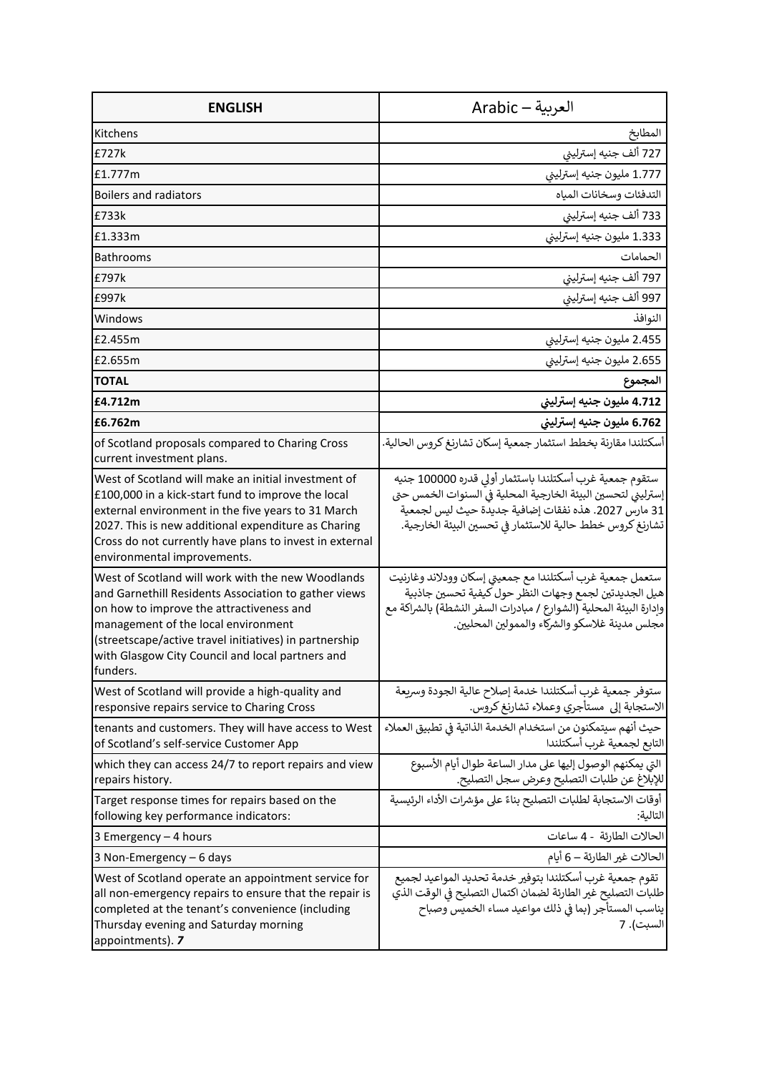| <b>ENGLISH</b>                                                                                                                                                                                                                                                                                                         | العربية — Arabic                                                                                                                                                                                                                            |
|------------------------------------------------------------------------------------------------------------------------------------------------------------------------------------------------------------------------------------------------------------------------------------------------------------------------|---------------------------------------------------------------------------------------------------------------------------------------------------------------------------------------------------------------------------------------------|
| Kitchens                                                                                                                                                                                                                                                                                                               | المطابخ                                                                                                                                                                                                                                     |
| £727k                                                                                                                                                                                                                                                                                                                  | 727 ألف جنيه إسترليني                                                                                                                                                                                                                       |
| £1.777m                                                                                                                                                                                                                                                                                                                | 1.777 مليون جنيه إسترليني                                                                                                                                                                                                                   |
| <b>Boilers and radiators</b>                                                                                                                                                                                                                                                                                           | التدفئات وسخانات المياه                                                                                                                                                                                                                     |
| £733k                                                                                                                                                                                                                                                                                                                  | 733 ألف جنيه إسترليني                                                                                                                                                                                                                       |
| £1.333m                                                                                                                                                                                                                                                                                                                | 1.333 مليون جنيه إسترليني                                                                                                                                                                                                                   |
| <b>Bathrooms</b>                                                                                                                                                                                                                                                                                                       | الحمامات                                                                                                                                                                                                                                    |
| £797k                                                                                                                                                                                                                                                                                                                  | 797 ألف جنيه إسترليني                                                                                                                                                                                                                       |
| £997k                                                                                                                                                                                                                                                                                                                  | 997 ألف جنيه إسترليني                                                                                                                                                                                                                       |
| Windows                                                                                                                                                                                                                                                                                                                | النوافذ                                                                                                                                                                                                                                     |
| £2.455m                                                                                                                                                                                                                                                                                                                | 2.455 مليون جنيه إسترليني                                                                                                                                                                                                                   |
| £2.655m                                                                                                                                                                                                                                                                                                                | 2.655 مليون جنيه إسترليني                                                                                                                                                                                                                   |
| <b>TOTAL</b>                                                                                                                                                                                                                                                                                                           | المجموع                                                                                                                                                                                                                                     |
| £4.712m                                                                                                                                                                                                                                                                                                                | 4.712 مليون جنيه إسترليني                                                                                                                                                                                                                   |
| £6.762m                                                                                                                                                                                                                                                                                                                | 6.762 مليون جنيه إسترليني                                                                                                                                                                                                                   |
| of Scotland proposals compared to Charing Cross<br>current investment plans.                                                                                                                                                                                                                                           | أسكتلندا مقارنة بخطط استثمار جمعية إسكان تشارنغ كروس الحالية.                                                                                                                                                                               |
| West of Scotland will make an initial investment of<br>£100,000 in a kick-start fund to improve the local<br>external environment in the five years to 31 March<br>2027. This is new additional expenditure as Charing<br>Cross do not currently have plans to invest in external<br>environmental improvements.       | ستقوم جمعية غرب أسكتلندا باستثمار أولى قدره 100000 جنيه<br>إسترليني لتحسين البيئة الخارجية المحلية في السنوات الخمس حتى<br>31 مارس 2027. هذه نفقات إضافية جديدة حيث ليس لجمعية<br>تشارنغ كروس خطط حالية للاستثمار في تحسين البيئة الخارجية. |
| West of Scotland will work with the new Woodlands<br>and Garnethill Residents Association to gather views<br>on how to improve the attractiveness and<br>management of the local environment<br>(streetscape/active travel initiatives) in partnership<br>with Glasgow City Council and local partners and<br>funders. | ستعمل جمعية غرب أسكتلندا مع جمعيتي إسكان وودلاند وغارنيت<br>هيل الجديدتين لجمع وجهات النظر حول كيفية تحسين جاذبية<br>وإدارة البيئة المحلية (الشوارع / مبادرات السفر النشطة) بالشراكة مع<br>مجلس مدينة غلاسكو والشركاء والممولين المحليين.   |
| West of Scotland will provide a high-quality and<br>responsive repairs service to Charing Cross                                                                                                                                                                                                                        | ستوفر جمعية غرب أسكتلندا خدمة إصلاح عالية الجودة وسربعة<br>الاستجابة إلى مستأجري وعملاء تشارنغ كروس.                                                                                                                                        |
| tenants and customers. They will have access to West<br>of Scotland's self-service Customer App                                                                                                                                                                                                                        | حيث أنهم سيتمكنون من استخدام الخدمة الذاتية في تطبيق العملاء<br>التابع لجمعية غرب أسكتلندا                                                                                                                                                  |
| which they can access 24/7 to report repairs and view<br>repairs history.                                                                                                                                                                                                                                              | التي يمكنهم الوصول إليها على مدار الساعة طوال أيام الأسبوع<br>للإبلاغ عن طلبات التصليح وعرض سجل التصليح.                                                                                                                                    |
| Target response times for repairs based on the<br>following key performance indicators:                                                                                                                                                                                                                                | أوقات الاستجابة لطلبات التصليح بناءً على مؤشرات الأداء الرئيسية<br>التالية:                                                                                                                                                                 |
| 3 Emergency - 4 hours                                                                                                                                                                                                                                                                                                  | الحالات الطارئة - 4 ساعات                                                                                                                                                                                                                   |
| 3 Non-Emergency - 6 days                                                                                                                                                                                                                                                                                               | الحالات غير الطارئة — 6 أيام                                                                                                                                                                                                                |
| West of Scotland operate an appointment service for<br>all non-emergency repairs to ensure that the repair is<br>completed at the tenant's convenience (including<br>Thursday evening and Saturday morning<br>appointments). 7                                                                                         | تقوم جمعية غرب أسكتلندا بتوفير خدمة تحديد المواعيد لجميع<br>طلبات التصليح غير الطارئة لضمان اكتمال التصليح فى الوقت الذي<br>يناسب المستأجر (بما في ذلك مواعيد مساء الخميس وصباح<br>السبت). 7                                                |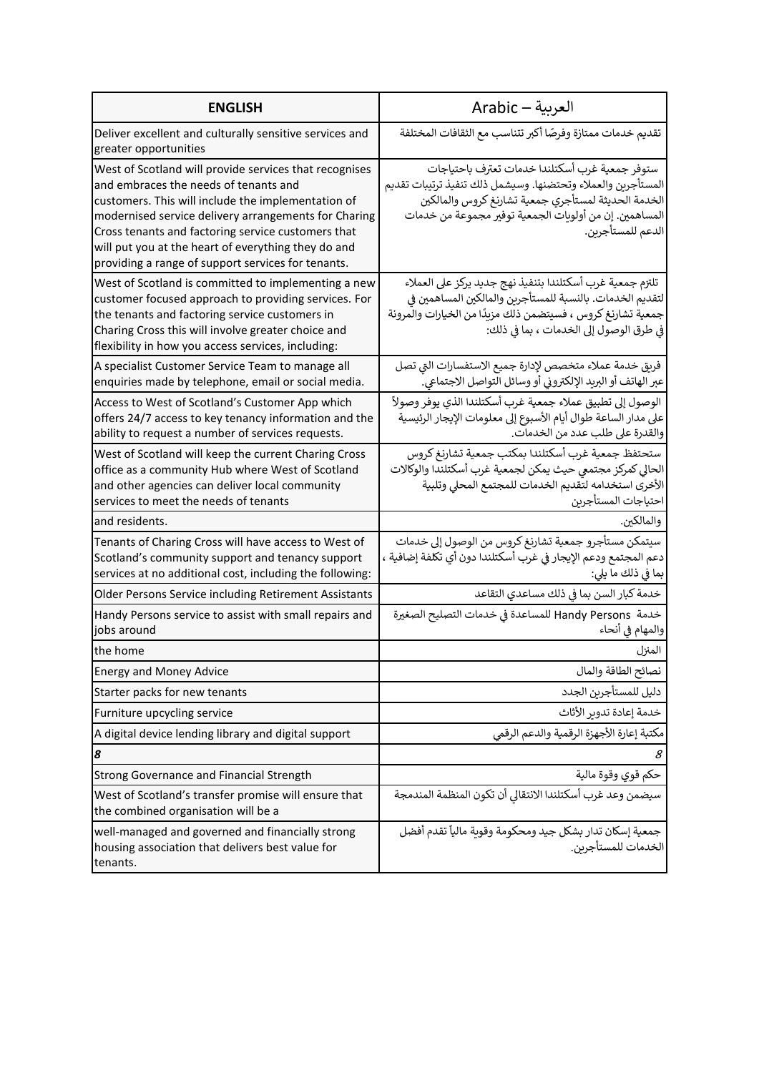| <b>ENGLISH</b>                                                                                                                                                                                                                                                                                                                                                                   | العربية — Arabic                                                                                                                                                                                                                                     |
|----------------------------------------------------------------------------------------------------------------------------------------------------------------------------------------------------------------------------------------------------------------------------------------------------------------------------------------------------------------------------------|------------------------------------------------------------------------------------------------------------------------------------------------------------------------------------------------------------------------------------------------------|
| Deliver excellent and culturally sensitive services and<br>greater opportunities                                                                                                                                                                                                                                                                                                 | تقديم خدمات ممتازة وفرصًا أكبر تتناسب مع الثقافات المختلفة                                                                                                                                                                                           |
| West of Scotland will provide services that recognises<br>and embraces the needs of tenants and<br>customers. This will include the implementation of<br>modernised service delivery arrangements for Charing<br>Cross tenants and factoring service customers that<br>will put you at the heart of everything they do and<br>providing a range of support services for tenants. | ستوفر جمعية غرب أسكتلندا خدمات تعترف باحتياجات<br>المستأجرين والعملاء وتحتضنها. وسيشمل ذلك تنفيذ ترتيبات تقديم<br>الخدمة الحديثة لمستأجري جمعية تشارنغ كروس والمالكين<br>المساهمين. إن من أولوبات الجمعية توفير مجموعة من خدمات<br>الدعم للمستأجرين. |
| West of Scotland is committed to implementing a new<br>customer focused approach to providing services. For<br>the tenants and factoring service customers in<br>Charing Cross this will involve greater choice and<br>flexibility in how you access services, including:                                                                                                        | تلتزم جمعية غرب أسكتلندا بتنفيذ نهج جديد يركز على العملاء<br>لتقديم الخدمات. بالنسبة للمستأجرين والمالكين المساهمين في<br>جمعية تشارنغ كروس ، فسيتضمن ذلك مزيدًا من الخيارات والمرونة<br>في طرق الوصول إلى الخدمات ، بما في ذلك:                     |
| A specialist Customer Service Team to manage all<br>enquiries made by telephone, email or social media.                                                                                                                                                                                                                                                                          | فريق خدمة عملاء متخصص لإدارة جميع الاستفسارات التي تصل<br>عبر الهاتف أو البريد الإلكتروني أو وسائل التواصل الاجتماعي.                                                                                                                                |
| Access to West of Scotland's Customer App which<br>offers 24/7 access to key tenancy information and the<br>ability to request a number of services requests.                                                                                                                                                                                                                    | الوصول إلى تطبيق عملاء جمعية غرب أسكتلندا الذي يوفر وصولاً<br>على مدار الساعة طوال أيام الأسبوع إلى معلومات الإيجار الرئيسية<br>والقدرة على طلب عدد من الخدمات.                                                                                      |
| West of Scotland will keep the current Charing Cross<br>office as a community Hub where West of Scotland<br>and other agencies can deliver local community<br>services to meet the needs of tenants                                                                                                                                                                              | ستحتفظ جمعية غرب أسكتلندا بمكتب جمعية تشارنغ كروس<br>الحالي كمركز مجتمعى حيث يمكن لجمعية غرب أسكتلندا والوكالات<br>الأخرى استخدامه لتقديم الخدمات للمجتمع المحلى وتلبية<br>احتياجات المستأجرين                                                       |
| and residents.                                                                                                                                                                                                                                                                                                                                                                   | والمالكين.                                                                                                                                                                                                                                           |
| Tenants of Charing Cross will have access to West of<br>Scotland's community support and tenancy support<br>services at no additional cost, including the following:                                                                                                                                                                                                             | سيتمكن مستأجرو جمعية تشارنغ كروس من الوصول إلى خدمات<br>دعم المجتمع ودعم الإيجار في غرب أسكتلندا دون أي تكلفة إضافية ،<br>بما فى ذلك ما يلى:                                                                                                         |
| Older Persons Service including Retirement Assistants                                                                                                                                                                                                                                                                                                                            | خدمة كبار السن بما فى ذلك مساعدي التقاعد                                                                                                                                                                                                             |
| Handy Persons service to assist with small repairs and<br>jobs around                                                                                                                                                                                                                                                                                                            | خدمة  Handy Persons للمساعدة في خدمات التصليح الصغيرة<br>والمهام في أنحاء                                                                                                                                                                            |
| the home                                                                                                                                                                                                                                                                                                                                                                         | المنزل                                                                                                                                                                                                                                               |
| <b>Energy and Money Advice</b>                                                                                                                                                                                                                                                                                                                                                   | نصائح الطاقة والمال                                                                                                                                                                                                                                  |
| Starter packs for new tenants                                                                                                                                                                                                                                                                                                                                                    | دليل للمستأجرين الجدد                                                                                                                                                                                                                                |
| Furniture upcycling service                                                                                                                                                                                                                                                                                                                                                      | خدمة إعادة تدوير الأثاث                                                                                                                                                                                                                              |
| A digital device lending library and digital support                                                                                                                                                                                                                                                                                                                             | مكتبة إعارة الأجهزة الرقمية والدعم الرقمى                                                                                                                                                                                                            |
| 8                                                                                                                                                                                                                                                                                                                                                                                | 8                                                                                                                                                                                                                                                    |
| Strong Governance and Financial Strength                                                                                                                                                                                                                                                                                                                                         | حكم قوي وقوة مالية                                                                                                                                                                                                                                   |
| West of Scotland's transfer promise will ensure that<br>the combined organisation will be a                                                                                                                                                                                                                                                                                      | سيضمن وعد غرب أسكتلندا الانتقالي أن تكون المنظمة المندمجة                                                                                                                                                                                            |
| well-managed and governed and financially strong<br>housing association that delivers best value for<br>tenants.                                                                                                                                                                                                                                                                 | جمعية إسكان تدار بشكل جيد ومحكومة وقوبة مالياً تقدم أفضل<br>الخدمات للمستأجرين.                                                                                                                                                                      |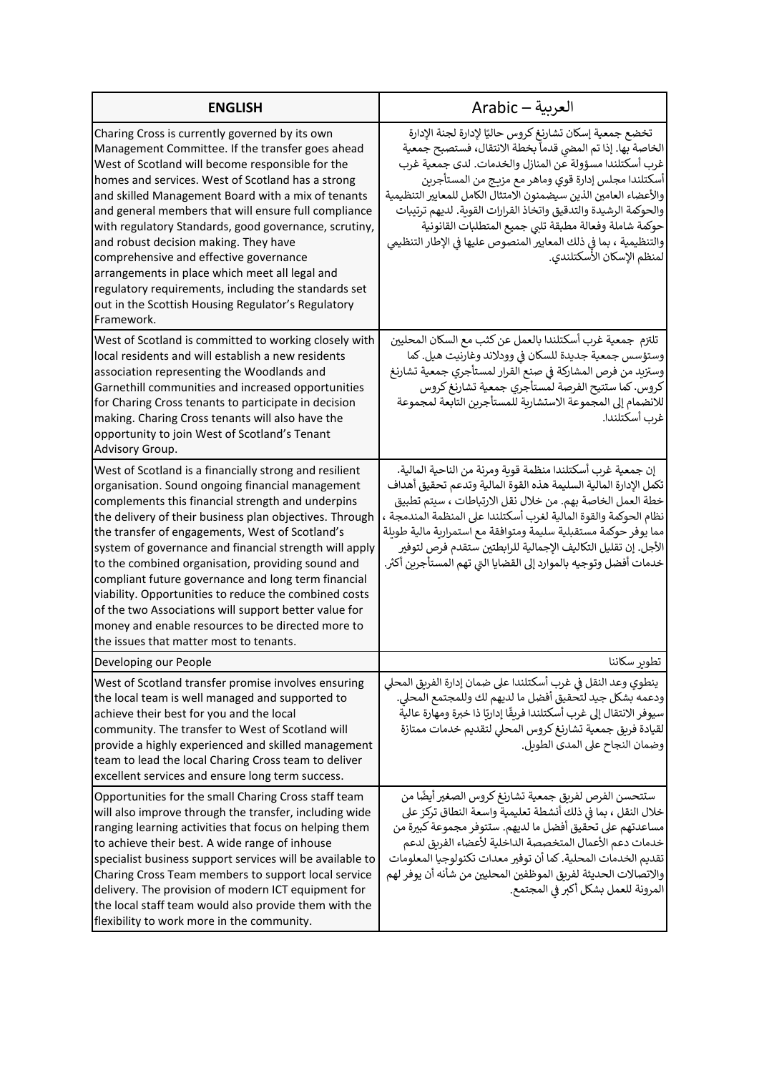| <b>ENGLISH</b>                                                                                                                                                                                                                                                                                                                                                                                                                                                                                                                                                                                                                                                        | العربية — Arabic                                                                                                                                                                                                                                                                                                                                                                                                                                                                                                                           |
|-----------------------------------------------------------------------------------------------------------------------------------------------------------------------------------------------------------------------------------------------------------------------------------------------------------------------------------------------------------------------------------------------------------------------------------------------------------------------------------------------------------------------------------------------------------------------------------------------------------------------------------------------------------------------|--------------------------------------------------------------------------------------------------------------------------------------------------------------------------------------------------------------------------------------------------------------------------------------------------------------------------------------------------------------------------------------------------------------------------------------------------------------------------------------------------------------------------------------------|
| Charing Cross is currently governed by its own<br>Management Committee. If the transfer goes ahead<br>West of Scotland will become responsible for the<br>homes and services. West of Scotland has a strong<br>and skilled Management Board with a mix of tenants<br>and general members that will ensure full compliance<br>with regulatory Standards, good governance, scrutiny,<br>and robust decision making. They have<br>comprehensive and effective governance<br>arrangements in place which meet all legal and<br>regulatory requirements, including the standards set<br>out in the Scottish Housing Regulator's Regulatory<br>Framework.                   | تخضع جمعية إسكان تشارنغ كروس حاليًا لإدارة لجنة الإدارة<br>الخاصة بها. إذا تم المضي قدماً بخطة الانتقال، فستصبح جمعية<br>غرب أسكتلندا مسؤولة عن المنازل والخدمات. لدى جمعية غرب<br>أسكتلندا مجلس إدارة قوي وماهر مع مزيج من المستأجرين<br>والأعضاء العامين الذين سيضمنون الامتثال الكامل للمعايير التنظيمية<br>والحوكمة الرشيدة والتدقيق واتخاذ القرارات القوية. لديهم ترتيبات<br>حوكمة شاملة وفعالة مطبقة تلبى جميع المتطلبات القانونية<br>والتنظيمية ، بما في ذلك المعايير المنصوص عليها في الإطار التنظيمى<br>لمنظم الإسكان الأسكتلندي. |
| West of Scotland is committed to working closely with<br>local residents and will establish a new residents<br>association representing the Woodlands and<br>Garnethill communities and increased opportunities<br>for Charing Cross tenants to participate in decision<br>making. Charing Cross tenants will also have the<br>opportunity to join West of Scotland's Tenant<br>Advisory Group.                                                                                                                                                                                                                                                                       | تلتزم  جمعية غرب أسكتلندا بالعمل عن كثب مع السكان المحليين<br>وستؤسس جمعية جديدة للسكان في وودلاند وغارنيت هيل. كما<br>وستزيد من فرص المشاركة في صنع القرار لمستأجري جمعية تشارنغ<br>كروس. كما ستتيح الفرصة لمستأجري جمعية تشارنغ كروس<br>للانضمام إلى المجموعة الاستشارية للمستأجرين التابعة لمجموعة<br>غرب أسكتلندا.                                                                                                                                                                                                                     |
| West of Scotland is a financially strong and resilient<br>organisation. Sound ongoing financial management<br>complements this financial strength and underpins<br>the delivery of their business plan objectives. Through<br>the transfer of engagements, West of Scotland's<br>system of governance and financial strength will apply<br>to the combined organisation, providing sound and<br>compliant future governance and long term financial<br>viability. Opportunities to reduce the combined costs<br>of the two Associations will support better value for<br>money and enable resources to be directed more to<br>the issues that matter most to tenants. | إن جمعية غرب أسكتلندا منظمة قوبة ومرنة من الناحية المالية.<br>تكمل الإدارة المالية السليمة هذه القوة المالية وتدعم تحقيق أهداف<br>خطة العمل الخاصة بهم. من خلال نقل الارتباطات ، سيتم تطبيق<br>نظام الحوكمة والقوة المالية لغرب أسكتلندا على المنظمة المندمجة ،<br>مما يوفر حوكمة مستقبلية سليمة ومتوافقة مع استمرارية مالية طويلة<br>الأجل. إن تقليل التكاليف الإجمالية للرابطتين ستقدم فرص لتوفير<br>خدمات أفضل وتوجيه بالموارد إلى القضايا التي تهم المستأجرين أكثر.                                                                    |
| Developing our People                                                                                                                                                                                                                                                                                                                                                                                                                                                                                                                                                                                                                                                 | تطوير سكاننا                                                                                                                                                                                                                                                                                                                                                                                                                                                                                                                               |
| West of Scotland transfer promise involves ensuring<br>the local team is well managed and supported to<br>achieve their best for you and the local<br>community. The transfer to West of Scotland will<br>provide a highly experienced and skilled management<br>team to lead the local Charing Cross team to deliver<br>excellent services and ensure long term success.                                                                                                                                                                                                                                                                                             | ينطوي وعد النقل في غرب أسكتلندا على ضمان إدارة الفريق المحلى<br>ودعمه بشكل جيد لتحقيق أفضل ما لديهم لك وللمجتمع المحلى.<br>سيوفر الانتقال إلى غرب أسكتلندا فرىقًا إداربًا ذا خبرة ومهارة عالية<br>لقيادة فريق جمعية تشارنغ كروس المحلى لتقديم خدمات ممتازة<br>وضمان النجاح على المدى الطويل.                                                                                                                                                                                                                                               |
| Opportunities for the small Charing Cross staff team<br>will also improve through the transfer, including wide<br>ranging learning activities that focus on helping them<br>to achieve their best. A wide range of inhouse<br>specialist business support services will be available to<br>Charing Cross Team members to support local service<br>delivery. The provision of modern ICT equipment for<br>the local staff team would also provide them with the<br>flexibility to work more in the community.                                                                                                                                                          | ستتحسن الفرص لفريق جمعية تشارنغ كروس الصغير أيضًا من<br>خلال النقل ، بما في ذلك أنشطة تعليمية واسعة النطاق تركز على<br>مساعدتهم على تحقيق أفضل ما لديهم. ستتوفر مجموعة كبيرة من<br>خدمات دعم الأعمال المتخصصة الداخلية لأعضاء الفربق لدعم<br>تقديم الخدمات المحلية. كما أن توفير معدات تكنولوجيا المعلومات<br>والاتصالات الحديثة لفريق الموظفين المحليين من شأنه أن يوفر لهم<br>المرونة للعمل بشكل أكبر في المجتمع.                                                                                                                        |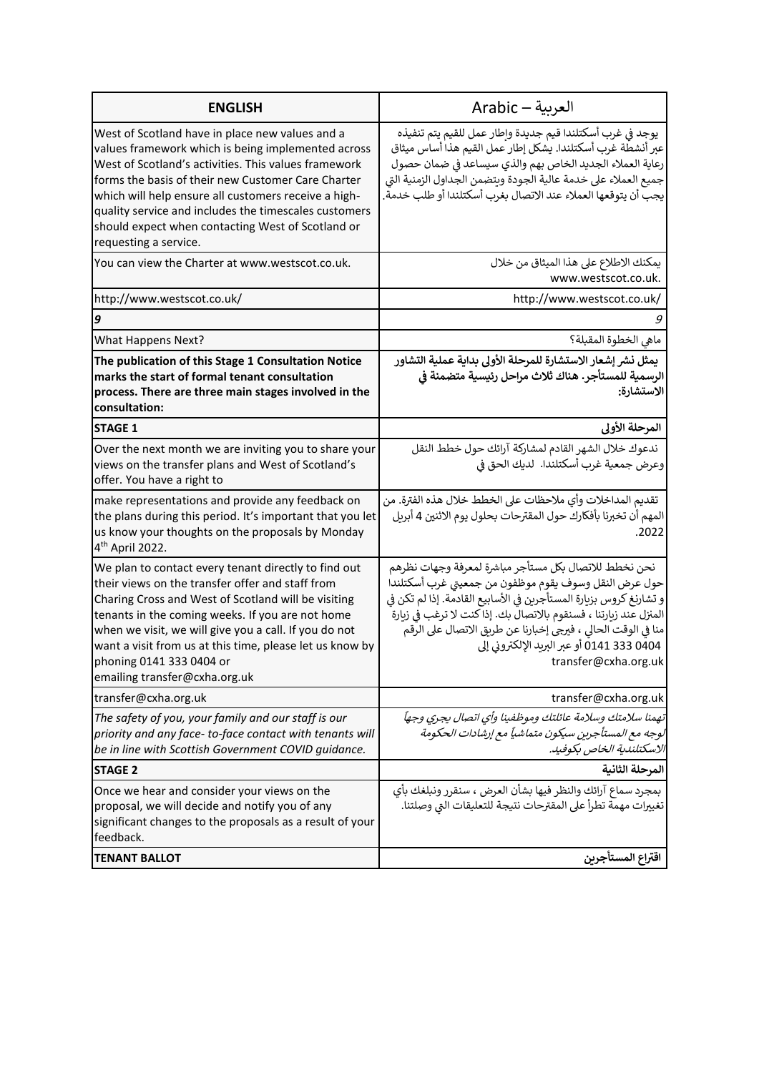| <b>ENGLISH</b>                                                                                                                                                                                                                                                                                                                                                                                                     | العربية — Arabic                                                                                                                                                                                                                                                                                                                                                                                 |
|--------------------------------------------------------------------------------------------------------------------------------------------------------------------------------------------------------------------------------------------------------------------------------------------------------------------------------------------------------------------------------------------------------------------|--------------------------------------------------------------------------------------------------------------------------------------------------------------------------------------------------------------------------------------------------------------------------------------------------------------------------------------------------------------------------------------------------|
| West of Scotland have in place new values and a<br>values framework which is being implemented across<br>West of Scotland's activities. This values framework<br>forms the basis of their new Customer Care Charter<br>which will help ensure all customers receive a high-<br>quality service and includes the timescales customers<br>should expect when contacting West of Scotland or<br>requesting a service. | يوجد في غرب أسكتلندا قيم جديدة وإطار عمل للقيم يتم تنفيذه<br>عبر أنشطة غرب أسكتلندا. يشكل إطار عمل القيم هذا أساس ميثاق<br>رعاية العملاء الجديد الخاص بهم والذي سيساعد في ضمان حصول<br>جميع العملاء على خدمة عالية الجودة ويتضمن الجداول الزمنية التي<br>يجب أن يتوقعها العملاء عند الاتصال بغرب أسكتلندا أو طلب خدمة                                                                            |
| You can view the Charter at www.westscot.co.uk.                                                                                                                                                                                                                                                                                                                                                                    | يمكنك الاطلاع على هذا الميثاق من خلال<br>www.westscot.co.uk.                                                                                                                                                                                                                                                                                                                                     |
| http://www.westscot.co.uk/                                                                                                                                                                                                                                                                                                                                                                                         | http://www.westscot.co.uk/                                                                                                                                                                                                                                                                                                                                                                       |
| 9                                                                                                                                                                                                                                                                                                                                                                                                                  |                                                                                                                                                                                                                                                                                                                                                                                                  |
| <b>What Happens Next?</b>                                                                                                                                                                                                                                                                                                                                                                                          | ماهي الخطوة المقبلة؟                                                                                                                                                                                                                                                                                                                                                                             |
| The publication of this Stage 1 Consultation Notice<br>marks the start of formal tenant consultation<br>process. There are three main stages involved in the<br>consultation:                                                                                                                                                                                                                                      | يمثل نشر إشعار الاستشارة للمرحلة الأولى بداية عملية التشاور<br>الرسمية للمستأجر. هناك ثلاث مراحل رئيسية متضمنة في<br>الاستشارة:                                                                                                                                                                                                                                                                  |
| <b>STAGE 1</b>                                                                                                                                                                                                                                                                                                                                                                                                     | المرحلة الأولى                                                                                                                                                                                                                                                                                                                                                                                   |
| Over the next month we are inviting you to share your<br>views on the transfer plans and West of Scotland's<br>offer. You have a right to                                                                                                                                                                                                                                                                          | ندعوك خلال الشهر القادم لمشاركة آرائك حول خطط النقل<br>وعرض جمعية غرب أسكتلندا. لديك الحق في                                                                                                                                                                                                                                                                                                     |
| make representations and provide any feedback on<br>the plans during this period. It's important that you let<br>us know your thoughts on the proposals by Monday<br>4 <sup>th</sup> April 2022.                                                                                                                                                                                                                   | تقديم المداخلات وأي ملاحظات على الخطط خلال هذه الفترة. من<br>المهم أن تخبرنا بأفكارك حول المقترحات بحلول يوم الاثنين 4 أبريل<br>.2022                                                                                                                                                                                                                                                            |
| We plan to contact every tenant directly to find out<br>their views on the transfer offer and staff from<br>Charing Cross and West of Scotland will be visiting<br>tenants in the coming weeks. If you are not home<br>when we visit, we will give you a call. If you do not<br>want a visit from us at this time, please let us know by<br>phoning 0141 333 0404 or<br>emailing transfer@cxha.org.uk              | نحن نخطط للاتصال بكل مستأجر مباشرة لمعرفة وجهات نظرهم<br>حول عرض النقل وسوف يقوم موظفون من جمعيتي غرب أسكتلندا<br>و تشارنغ كروس بزيارة المستأجرين في الأسابيع القادمة. إذا لم تكن في<br>المنزل عند زيارتنا ، فسنقوم بالاتصال بك. إذا كنت لا ترغب في زيارة<br>منا في الوقت الحالي ، فيرجى إخبارنا عن طريق الاتصال على الرقم<br>0404 333 0411 أو عبر البريد الإلكتروني إلى<br>transfer@cxha.org.uk |
| transfer@cxha.org.uk                                                                                                                                                                                                                                                                                                                                                                                               | transfer@cxha.org.uk                                                                                                                                                                                                                                                                                                                                                                             |
| The safety of you, your family and our staff is our<br>priority and any face-to-face contact with tenants will<br>be in line with Scottish Government COVID guidance.                                                                                                                                                                                                                                              | تهمنا سلامتك وسلامة عائلتك وموظفينا وأى اتصال يجري وجهاً<br>لوجه مع المستأجرين سيكون متماشياً مع إرشادات الحكومة<br>الاسكتلندية الخاص بكوفيد.                                                                                                                                                                                                                                                    |
| <b>STAGE 2</b>                                                                                                                                                                                                                                                                                                                                                                                                     | المرحلة الثانية                                                                                                                                                                                                                                                                                                                                                                                  |
| Once we hear and consider your views on the<br>proposal, we will decide and notify you of any<br>significant changes to the proposals as a result of your<br>feedback.                                                                                                                                                                                                                                             | بمجرد سماع آرائك والنظر فيها بشأن العرض ، سنقرر ونبلغك بأي<br>تغييرات مهمة تطرأ على المقترحات نتيجة للتعليقات التي وصلتنا.                                                                                                                                                                                                                                                                       |
| <b>TENANT BALLOT</b>                                                                                                                                                                                                                                                                                                                                                                                               | اقتراع المستأجرين                                                                                                                                                                                                                                                                                                                                                                                |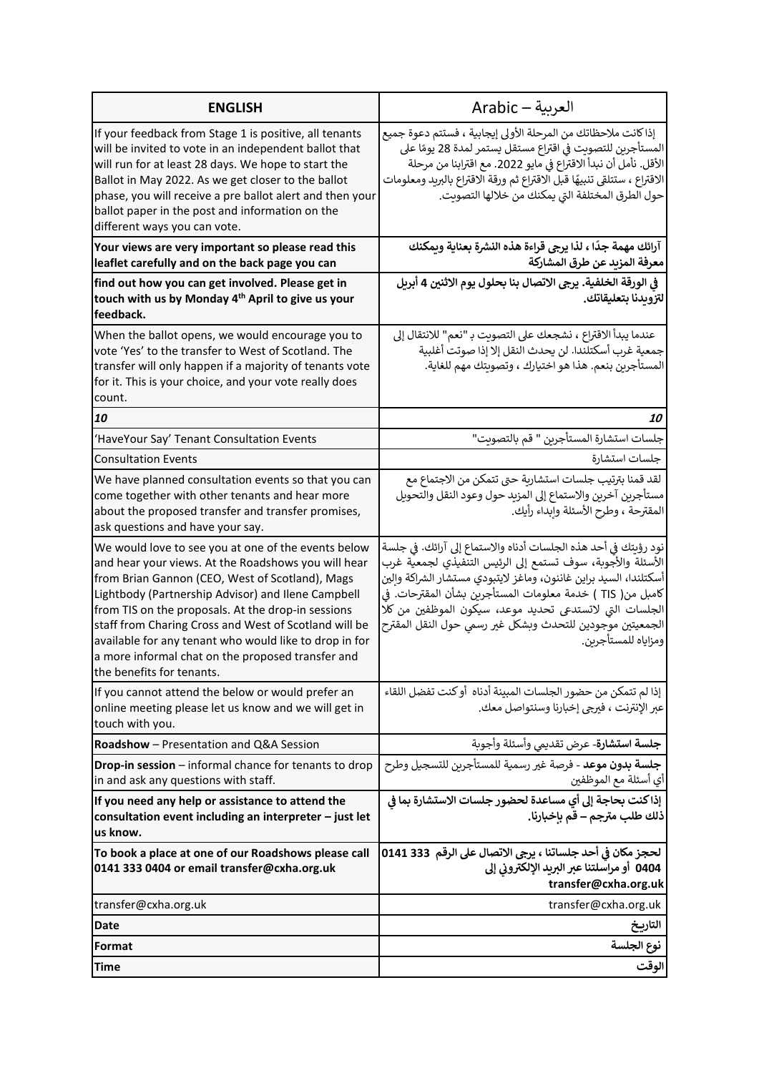| <b>ENGLISH</b>                                                                                                                                                                                                                                                                                                                                                                                                                                                                 | العربية — Arabic                                                                                                                                                                                                                                                                                                                                                                                                |
|--------------------------------------------------------------------------------------------------------------------------------------------------------------------------------------------------------------------------------------------------------------------------------------------------------------------------------------------------------------------------------------------------------------------------------------------------------------------------------|-----------------------------------------------------------------------------------------------------------------------------------------------------------------------------------------------------------------------------------------------------------------------------------------------------------------------------------------------------------------------------------------------------------------|
| If your feedback from Stage 1 is positive, all tenants<br>will be invited to vote in an independent ballot that<br>will run for at least 28 days. We hope to start the<br>Ballot in May 2022. As we get closer to the ballot<br>phase, you will receive a pre ballot alert and then your<br>ballot paper in the post and information on the<br>different ways you can vote.                                                                                                    | إذا كانت ملاحظاتك من المرحلة الأولى إيجابية ، فستتم دعوة جميع<br>المستأجرين للتصويت في اقتراع مستقل يستمر لمدة 28 يومًا على<br>الأقل. نأمل أن نبدأ الاقتراع في مايو 2022. مع اقترابنا من مرحلة<br>الاقتراع ، ستتلقى تنبيهًا قبل الاقتراع ثم ورقة الاقتراع بالبريد ومعلومات<br>حول الطرق المختلفة التي يمكنك من خلالها التصويت.                                                                                  |
| Your views are very important so please read this<br>leaflet carefully and on the back page you can                                                                                                                                                                                                                                                                                                                                                                            | آرائك مهمة جدًا ، لذا يرجى قراءة هذه النشرة بعناية ويمكنك<br>معرفة المزيد عن طرق المشاركة                                                                                                                                                                                                                                                                                                                       |
| find out how you can get involved. Please get in<br>touch with us by Monday 4 <sup>th</sup> April to give us your<br>feedback.                                                                                                                                                                                                                                                                                                                                                 | في الورقة الخلفية. يرجى الاتصال بنا بحلول يوم الاثنين 4 أبريل<br>لتزويدنا بتعليقاتك.                                                                                                                                                                                                                                                                                                                            |
| When the ballot opens, we would encourage you to<br>vote 'Yes' to the transfer to West of Scotland. The<br>transfer will only happen if a majority of tenants vote<br>for it. This is your choice, and your vote really does<br>count.                                                                                                                                                                                                                                         | عندما يبدأ الاقتراع ، نشجعك على التصويت بـ "نعم" للانتقال إلى<br>جمعية غرب أسكتلندا. لن يحدث النقل إلا إذا صوتت أغلبية<br>المستأجرين بنعم. هذا هو اختيارك ، وتصويتك مهم للغاية.                                                                                                                                                                                                                                 |
| 10                                                                                                                                                                                                                                                                                                                                                                                                                                                                             | <i>10</i>                                                                                                                                                                                                                                                                                                                                                                                                       |
| 'HaveYour Say' Tenant Consultation Events                                                                                                                                                                                                                                                                                                                                                                                                                                      | جلسات استشارة المستأجرين " قم بالتصويت"                                                                                                                                                                                                                                                                                                                                                                         |
| <b>Consultation Events</b>                                                                                                                                                                                                                                                                                                                                                                                                                                                     | جلسات استشارة                                                                                                                                                                                                                                                                                                                                                                                                   |
| We have planned consultation events so that you can<br>come together with other tenants and hear more<br>about the proposed transfer and transfer promises,<br>ask questions and have your say.                                                                                                                                                                                                                                                                                | لقد قمنا بترتيب جلسات استشارية حتى تتمكن من الاجتماع مع<br>مستأجرين آخرين والاستماع إلى المزيد حول وعود النقل والتحويل<br>المقترحة ، وطرح الأسئلة وإبداء رأيك.                                                                                                                                                                                                                                                  |
| We would love to see you at one of the events below<br>and hear your views. At the Roadshows you will hear<br>from Brian Gannon (CEO, West of Scotland), Mags<br>Lightbody (Partnership Advisor) and Ilene Campbell<br>from TIS on the proposals. At the drop-in sessions<br>staff from Charing Cross and West of Scotland will be<br>available for any tenant who would like to drop in for<br>a more informal chat on the proposed transfer and<br>the benefits for tenants. | نود رؤيتك في أحد هذه الجلسات أدناه والاستماع إلى آرائك. في جلسة<br>الأسئلة والأجوبة، سوف تستمع إلى الرئيس التنفيذي لجمعية غرب<br>أسكتلندا، السيد براين غاننون، وماغز لايتبودي مستشار الشراكة وإلين<br>كامبل من( TIS ) خدمة معلومات المستأجرين بشأن المقترحات. في<br>الجلسات التي لاتستدعي تحديد موعد، سيكون الموظفين من كلا<br>الجمعيتين موجودين للتحدث وبشكل غير رسمى حول النقل المقترح<br>ومزاياه للمستأجرين. |
| If you cannot attend the below or would prefer an<br>online meeting please let us know and we will get in<br>touch with you.                                                                                                                                                                                                                                                                                                                                                   | إذا لم تتمكن من حضور الجلسات المبينة أدناه  أو كنت تفضل اللقاء<br>عبر الإنترنت ، فيرجى إخبارنا وسنتواصل معك.                                                                                                                                                                                                                                                                                                    |
| <b>Roadshow</b> – Presentation and Q&A Session                                                                                                                                                                                                                                                                                                                                                                                                                                 | <b>جلسة استشارة</b> - عرض تقديمي وأسئلة وأجوبة                                                                                                                                                                                                                                                                                                                                                                  |
| <b>Drop-in session</b> – informal chance for tenants to drop<br>in and ask any questions with staff.                                                                                                                                                                                                                                                                                                                                                                           | <b>جلسة بدون موعد</b> - فرصة غير رسمية للمستأجرين للتسجيل وطرح<br>أي أسئلة مع الموظفين                                                                                                                                                                                                                                                                                                                          |
| If you need any help or assistance to attend the<br>consultation event including an interpreter - just let<br>us know.                                                                                                                                                                                                                                                                                                                                                         | إذا كنت بحاجة إلى أي مساعدة لحضور جلسات الاستشارة بما في<br>ذلك طلب مترجم – قم بإخبارنا.                                                                                                                                                                                                                                                                                                                        |
| To book a place at one of our Roadshows please call<br>0141 333 0404 or email transfer@cxha.org.uk                                                                                                                                                                                                                                                                                                                                                                             | لحجز مكان في أحد جلساتنا ، يرجى الاتصال على الرقم  333 0141<br>0404 أو مراسلتنا عبر البريد الإلكتروني إلى<br>transfer@cxha.org.uk                                                                                                                                                                                                                                                                               |
| transfer@cxha.org.uk                                                                                                                                                                                                                                                                                                                                                                                                                                                           | transfer@cxha.org.uk                                                                                                                                                                                                                                                                                                                                                                                            |
| Date                                                                                                                                                                                                                                                                                                                                                                                                                                                                           | التاريخ                                                                                                                                                                                                                                                                                                                                                                                                         |
| Format                                                                                                                                                                                                                                                                                                                                                                                                                                                                         | نوع الجلسة                                                                                                                                                                                                                                                                                                                                                                                                      |
| Time                                                                                                                                                                                                                                                                                                                                                                                                                                                                           | الوقت                                                                                                                                                                                                                                                                                                                                                                                                           |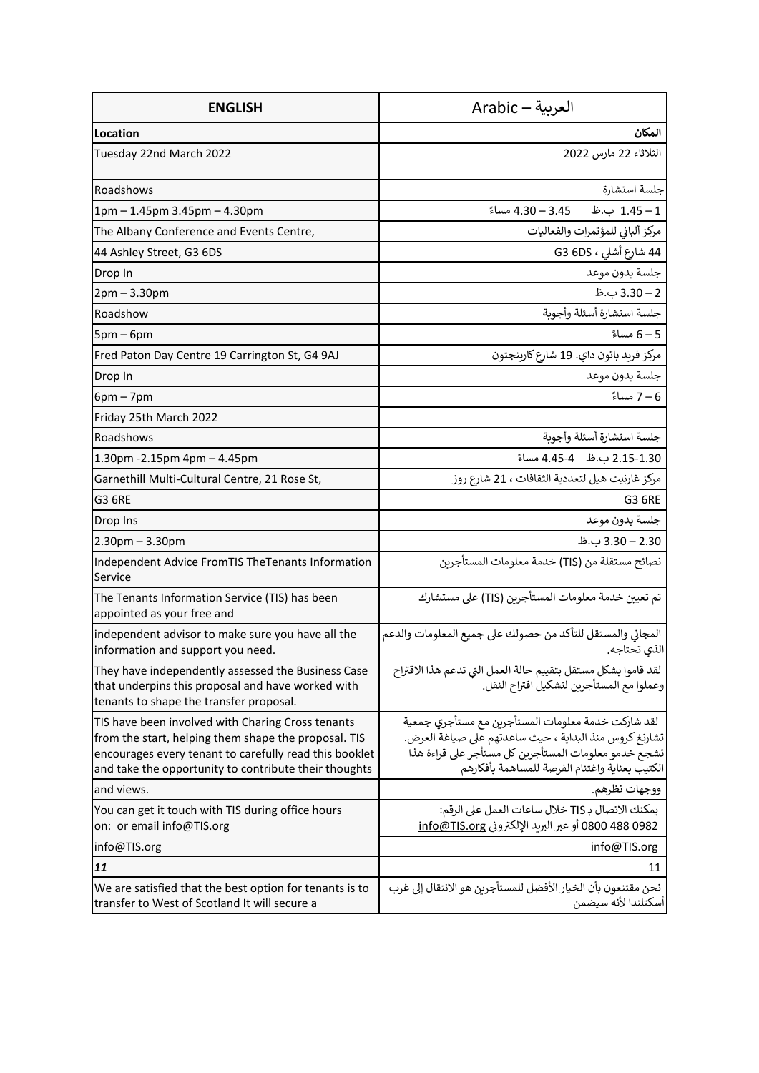| <b>ENGLISH</b>                                                                                                                                                                                                               | العربية — Arabic                                                                                                                                                                                                       |
|------------------------------------------------------------------------------------------------------------------------------------------------------------------------------------------------------------------------------|------------------------------------------------------------------------------------------------------------------------------------------------------------------------------------------------------------------------|
| Location                                                                                                                                                                                                                     | المكان                                                                                                                                                                                                                 |
| Tuesday 22nd March 2022                                                                                                                                                                                                      | الثلاثاء 22 مارس 2022                                                                                                                                                                                                  |
| Roadshows                                                                                                                                                                                                                    | جلسة استشارة                                                                                                                                                                                                           |
| 1pm - 1.45pm 3.45pm - 4.30pm                                                                                                                                                                                                 | 1 – 1.45 ب.ظ – 3.45 – 4.30 مساءً                                                                                                                                                                                       |
| The Albany Conference and Events Centre,                                                                                                                                                                                     | مركز ألباني للمؤتمرات والفعاليات                                                                                                                                                                                       |
| 44 Ashley Street, G3 6DS                                                                                                                                                                                                     | 44 شارع أشلى ، G3 6DS                                                                                                                                                                                                  |
| Drop In                                                                                                                                                                                                                      | جلسة بدون موعد                                                                                                                                                                                                         |
| $2pm - 3.30pm$                                                                                                                                                                                                               | 2 – 3.30 ب.ظ                                                                                                                                                                                                           |
| Roadshow                                                                                                                                                                                                                     | جلسة استشارة أسئلة وأجوىة                                                                                                                                                                                              |
| $5pm-6pm$                                                                                                                                                                                                                    | 5 – 6 مساءً                                                                                                                                                                                                            |
| Fred Paton Day Centre 19 Carrington St, G4 9AJ                                                                                                                                                                               | مركز فريد باتون داي. 19 شارع كارينجتون                                                                                                                                                                                 |
| Drop In                                                                                                                                                                                                                      | جلسة بدون موعد                                                                                                                                                                                                         |
| $6pm - 7pm$                                                                                                                                                                                                                  | 6 – 7 مساءً                                                                                                                                                                                                            |
| Friday 25th March 2022                                                                                                                                                                                                       |                                                                                                                                                                                                                        |
| Roadshows                                                                                                                                                                                                                    | جلسة استشارة أسئلة وأجوبة                                                                                                                                                                                              |
| 1.30pm - 2.15pm 4pm - 4.45pm                                                                                                                                                                                                 | 2.15-1.30 ب.ظ 4.45-4 مساءً                                                                                                                                                                                             |
| Garnethill Multi-Cultural Centre, 21 Rose St,                                                                                                                                                                                | مركز غارنيت هيل لتعددية الثقافات ، 21 شارع روز                                                                                                                                                                         |
| <b>G3 6RE</b>                                                                                                                                                                                                                | G3 6RE                                                                                                                                                                                                                 |
| Drop Ins                                                                                                                                                                                                                     | جلسة بدون موعد                                                                                                                                                                                                         |
| $2.30$ pm $- 3.30$ pm                                                                                                                                                                                                        | 3.30 – 3.30 ب.ظ                                                                                                                                                                                                        |
| Independent Advice FromTIS TheTenants Information<br>Service                                                                                                                                                                 | نصائح مستقلة من (TIS) خدمة معلومات المستأجرين                                                                                                                                                                          |
| The Tenants Information Service (TIS) has been<br>appointed as your free and                                                                                                                                                 | تم تعيين خدمة معلومات المستأجرين (TIS) على مستشارك                                                                                                                                                                     |
| independent advisor to make sure you have all the<br>information and support you need.                                                                                                                                       | المجاني والمستقل للتأكد من حصولك على جميع المعلومات والدعم<br>الذي تحتاجه.                                                                                                                                             |
| They have independently assessed the Business Case<br>that underpins this proposal and have worked with<br>tenants to shape the transfer proposal.                                                                           | لقد قاموا بشكل مستقل بتقييم حالة العمل التي تدعم هذا الاقتراح<br>وعملوا مع المستأجرين لتشكيل اقتراح النقل.                                                                                                             |
| TIS have been involved with Charing Cross tenants<br>from the start, helping them shape the proposal. TIS<br>encourages every tenant to carefully read this booklet<br>and take the opportunity to contribute their thoughts | لقد شاركت خدمة معلومات المستأجربن مع مستأجري جمعية<br>تشارنغ كروس منذ البداية ، حيث ساعدتهم على صياغة العرض.<br>تشجع خدمو معلومات المستأجربن كل مستأجر على قراءة هذا<br>الكتيب بعناية واغتنام الفرصة للمساهمة بأفكارهم |
| and views.                                                                                                                                                                                                                   | ووجهات نظرهم.                                                                                                                                                                                                          |
| You can get it touch with TIS during office hours<br>on: or email info@TIS.org                                                                                                                                               | يمكنك الاتصال بـ TIS خلال ساعات العمل على الرقم:<br>0800 488 0982 أو عبر البريد الإلكتروني info@TIS.org                                                                                                                |
| info@TIS.org                                                                                                                                                                                                                 | info@TIS.org                                                                                                                                                                                                           |
| 11                                                                                                                                                                                                                           | 11                                                                                                                                                                                                                     |
| We are satisfied that the best option for tenants is to<br>transfer to West of Scotland It will secure a                                                                                                                     | نحن مقتنعون بأن الخيار الأفضل للمستأجرين هو الانتقال إلى غرب<br>أسكتلندا لأنه سيضمن                                                                                                                                    |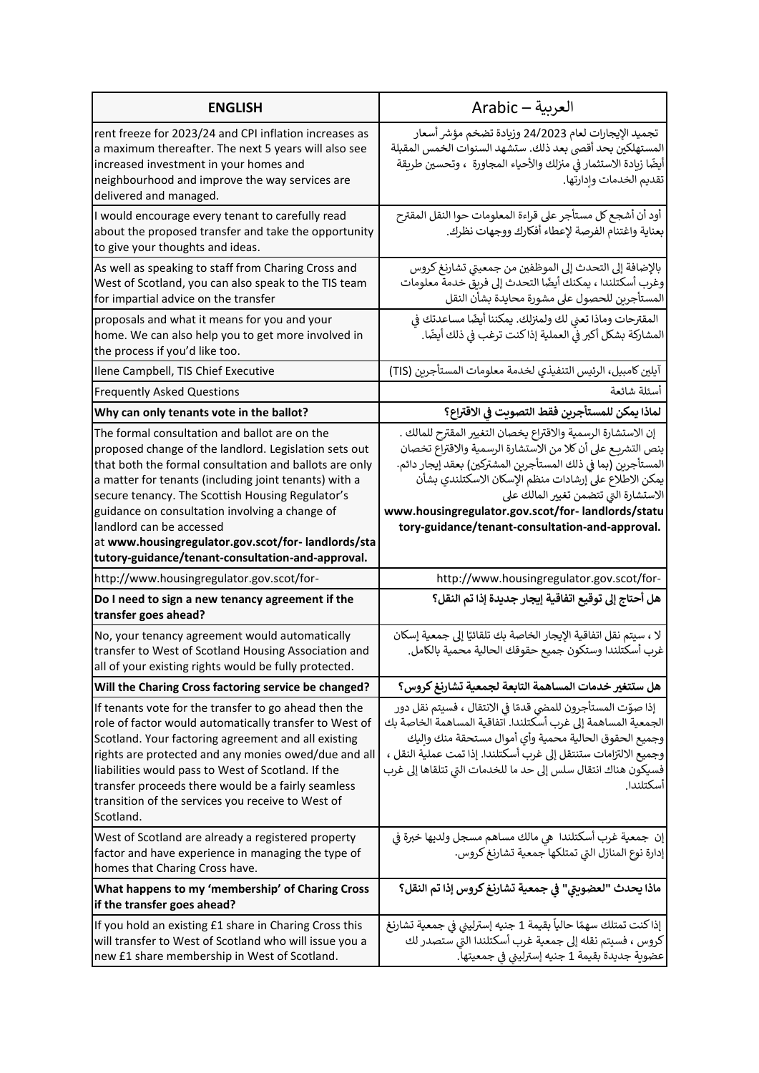| <b>ENGLISH</b>                                                                                                                                                                                                                                                                                                                                                                                                    | العربية — Arabic                                                                                                                                                                                                                                                                                                                                                                                          |
|-------------------------------------------------------------------------------------------------------------------------------------------------------------------------------------------------------------------------------------------------------------------------------------------------------------------------------------------------------------------------------------------------------------------|-----------------------------------------------------------------------------------------------------------------------------------------------------------------------------------------------------------------------------------------------------------------------------------------------------------------------------------------------------------------------------------------------------------|
| rent freeze for 2023/24 and CPI inflation increases as<br>a maximum thereafter. The next 5 years will also see<br>increased investment in your homes and<br>neighbourhood and improve the way services are<br>delivered and managed.                                                                                                                                                                              | تجميد الإيجارات لعام 24/2023 وزيادة تضخم مؤشر أسعار<br>المستهلكين بحد أقصى بعد ذلك. ستشهد السنوات الخمس المقبلة<br>أيضًا زيادة الاستثمار فى منزلك والأحياء المجاورة  ، وتحسين طريقة<br>تقديم الخدمات وإدارتها.                                                                                                                                                                                            |
| I would encourage every tenant to carefully read<br>about the proposed transfer and take the opportunity<br>to give your thoughts and ideas.                                                                                                                                                                                                                                                                      | أود أن أشجع كل مستأجر على قراءة المعلومات حوا النقل المقترح<br>بعناية واغتنام الفرصة لإعطاء أفكارك ووجهات نظرك.                                                                                                                                                                                                                                                                                           |
| As well as speaking to staff from Charing Cross and<br>West of Scotland, you can also speak to the TIS team<br>for impartial advice on the transfer                                                                                                                                                                                                                                                               | بالإضافة إلى التحدث إلى الموظفين من جمعيتي تشارنغ كروس<br>وغرب أسكتلندا ، يمكنك أيضًا التحدث إلى فريق خدمة معلومات<br>المستأجرين للحصول على مشورة محايدة بشأن النقل                                                                                                                                                                                                                                       |
| proposals and what it means for you and your<br>home. We can also help you to get more involved in<br>the process if you'd like too.                                                                                                                                                                                                                                                                              | المقترحات وماذا تعني لك ولمنزلك. يمكننا أيضًا مساعدتك في<br>المشاركة بشكل أكبر في العملية إذا كنت ترغب في ذلك أيضًا.                                                                                                                                                                                                                                                                                      |
| Ilene Campbell, TIS Chief Executive                                                                                                                                                                                                                                                                                                                                                                               | آيلين كامبيل، الرئيس التنفيذي لخدمة معلومات المستأجرين (TIS)                                                                                                                                                                                                                                                                                                                                              |
| <b>Frequently Asked Questions</b>                                                                                                                                                                                                                                                                                                                                                                                 | أسئلة شائعة                                                                                                                                                                                                                                                                                                                                                                                               |
| Why can only tenants vote in the ballot?                                                                                                                                                                                                                                                                                                                                                                          | لماذا يمكن للمستأجرين فقط التصويت في الاقتراع؟                                                                                                                                                                                                                                                                                                                                                            |
| The formal consultation and ballot are on the<br>proposed change of the landlord. Legislation sets out<br>that both the formal consultation and ballots are only<br>a matter for tenants (including joint tenants) with a<br>secure tenancy. The Scottish Housing Regulator's<br>guidance on consultation involving a change of<br>landlord can be accessed<br>at www.housingregulator.gov.scot/for-landlords/sta | إن الاستشارة الرسمية والاقتراع يخصان التغيير المقترح للمالك .<br>ينص التشريـع على أن كلا من الاستشارة الرسمية والاقتراع تخصان<br>المستأجرين (بما في ذلك المستأجرين المشتركين) بعقد إيجار دائم.<br>يمكن الاطلاع على إرشادات منظم الإسكان الاسكتلندي بشأن<br>الاستشارة التي تتضمن تغيير المالك على<br>www.housingregulator.gov.scot/for- landlords/statu<br>tory-guidance/tenant-consultation-and-approval. |
| tutory-guidance/tenant-consultation-and-approval.                                                                                                                                                                                                                                                                                                                                                                 |                                                                                                                                                                                                                                                                                                                                                                                                           |
| http://www.housingregulator.gov.scot/for-                                                                                                                                                                                                                                                                                                                                                                         | http://www.housingregulator.gov.scot/for-                                                                                                                                                                                                                                                                                                                                                                 |
| Do I need to sign a new tenancy agreement if the<br>transfer goes ahead?                                                                                                                                                                                                                                                                                                                                          | هل أحتاج إلى توقيع اتفاقية إيجار جديدة إذا تم النقل؟                                                                                                                                                                                                                                                                                                                                                      |
| No, your tenancy agreement would automatically<br>transfer to West of Scotland Housing Association and<br>all of your existing rights would be fully protected.                                                                                                                                                                                                                                                   | لا ، سيتم نقل اتفاقية الإيجار الخاصة بك تلقائيًا إلى جمعية إسكان<br>غرب أسكتلندا وستكون جميع حقوقك الحالية محمية بالكامل.                                                                                                                                                                                                                                                                                 |
| Will the Charing Cross factoring service be changed?                                                                                                                                                                                                                                                                                                                                                              | هل ستتغير خدمات المساهمة التابعة لجمعية تشارنغ كروس؟                                                                                                                                                                                                                                                                                                                                                      |
| If tenants vote for the transfer to go ahead then the<br>role of factor would automatically transfer to West of<br>Scotland. Your factoring agreement and all existing<br>rights are protected and any monies owed/due and all<br>liabilities would pass to West of Scotland. If the<br>transfer proceeds there would be a fairly seamless<br>transition of the services you receive to West of<br>Scotland.      | إذا صوّت المستأجرون للمضي قدمًا في الانتقال ، فسيتم نقل دور<br>الجمعية المساهمة إلى غرب أسكتلندا. اتفاقية المساهمة الخاصة بك<br>وجميع الحقوق الحالية محمية وأي أموال مستحقة منك واليك<br>وجميع الالتزامات ستنتقل إلى غرب أسكتلندا. إذا تمت عملية النقل ،<br>فسيكون هناك انتقال سلس إلى حد ما للخدمات التى تتلقاها إلى غرب<br>أسكتلندا                                                                     |
| West of Scotland are already a registered property<br>factor and have experience in managing the type of<br>homes that Charing Cross have.                                                                                                                                                                                                                                                                        | إن جمعية غرب أسكتلندا  هي مالك مساهم مسجل ولديها خبرة في<br>إدارة نوع المنازل التي تمتلكها جمعية تشارنغ كروس.                                                                                                                                                                                                                                                                                             |
| What happens to my 'membership' of Charing Cross<br>if the transfer goes ahead?                                                                                                                                                                                                                                                                                                                                   | ماذا يحدث "لعضويتي" في جمعية تشارنغ كروس إذا تم النقل؟                                                                                                                                                                                                                                                                                                                                                    |
| If you hold an existing £1 share in Charing Cross this<br>will transfer to West of Scotland who will issue you a<br>new £1 share membership in West of Scotland.                                                                                                                                                                                                                                                  | إذا كنت تمتلك سهمًا حالياً بقيمة 1 جنيه إسترليني في جمعية تشارنغ<br>كروس ، فسيتم نقله إلى جمعية غرب أسكتلندا التي ستصدر لك<br>عضوية جديدة بقيمة 1 جنيه إسترليني في جمعيتها.                                                                                                                                                                                                                               |